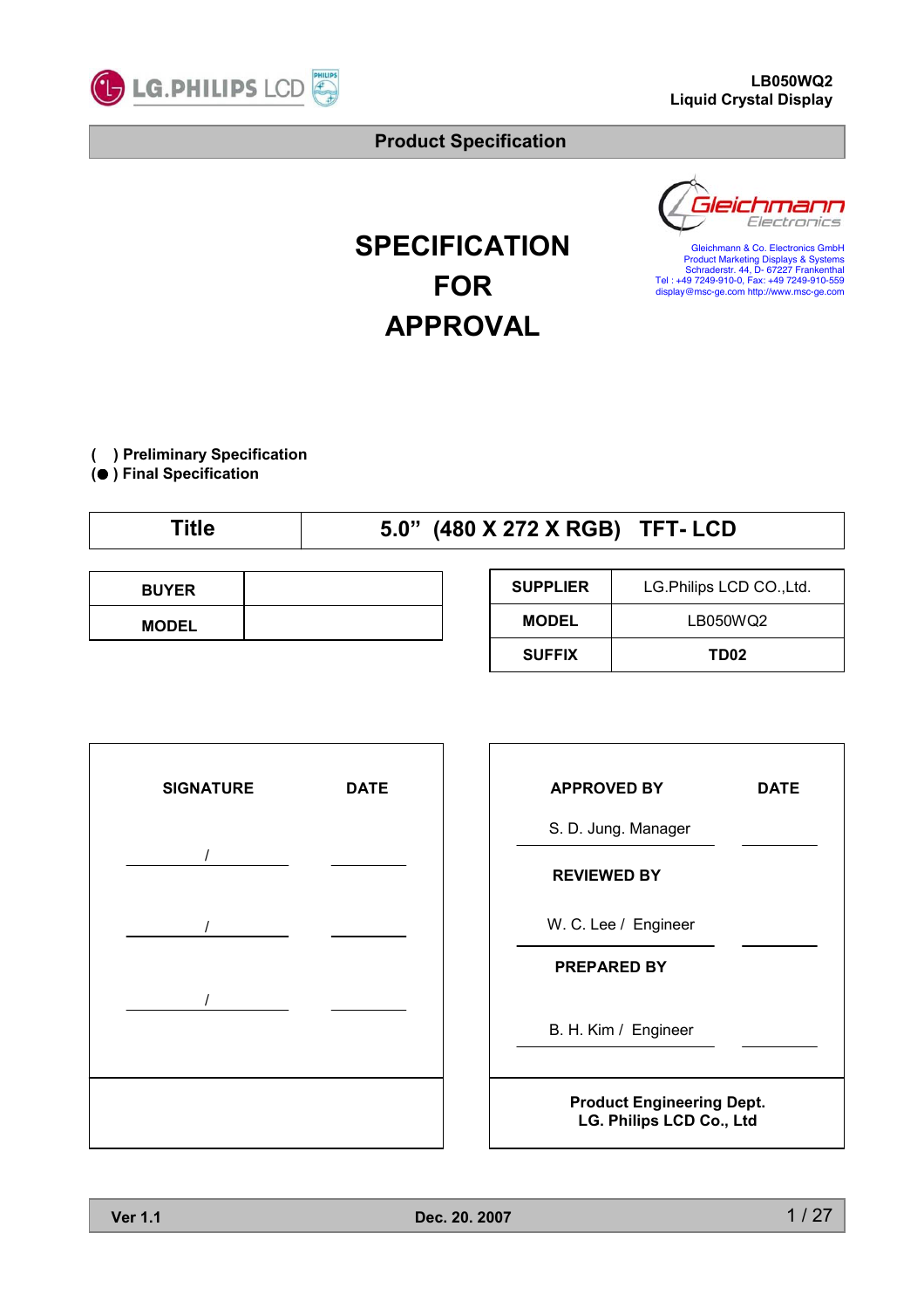



Gleichmann & Co. Electronics GmbH<br>
Product Marketing Displays & Systems<br>
Schraderstr. 44, D- 67227 Frankenthal<br>
Tel : +49 7249-910-0, Fax: +49 7249-910-559<br>
display@msc-ge.com http://www.msc-ge.com

**SPECIFICATION** FOR APPROVAL

( ) Preliminary Specification

(̻ ) Final Specification

# Title 5.0" (480 X 272 X RGB) TFT- LCD

| <b>BUYER</b> |  |
|--------------|--|
| <b>MODEL</b> |  |

| <b>SUPPLIER</b>          | LG. Philips LCD CO., Ltd. |  |  |  |
|--------------------------|---------------------------|--|--|--|
| <b>MODEL</b><br>LB050WQ2 |                           |  |  |  |
| <b>SUFFIX</b>            | TD02                      |  |  |  |



| <b>APPROVED BY</b>                                           | <b>DATE</b> |
|--------------------------------------------------------------|-------------|
| S. D. Jung. Manager                                          |             |
| <b>REVIEWED BY</b>                                           |             |
| W. C. Lee / Engineer                                         |             |
| <b>PREPARED BY</b>                                           |             |
| B. H. Kim / Engineer                                         |             |
| <b>Product Engineering Dept.</b><br>LG. Philips LCD Co., Ltd |             |

٦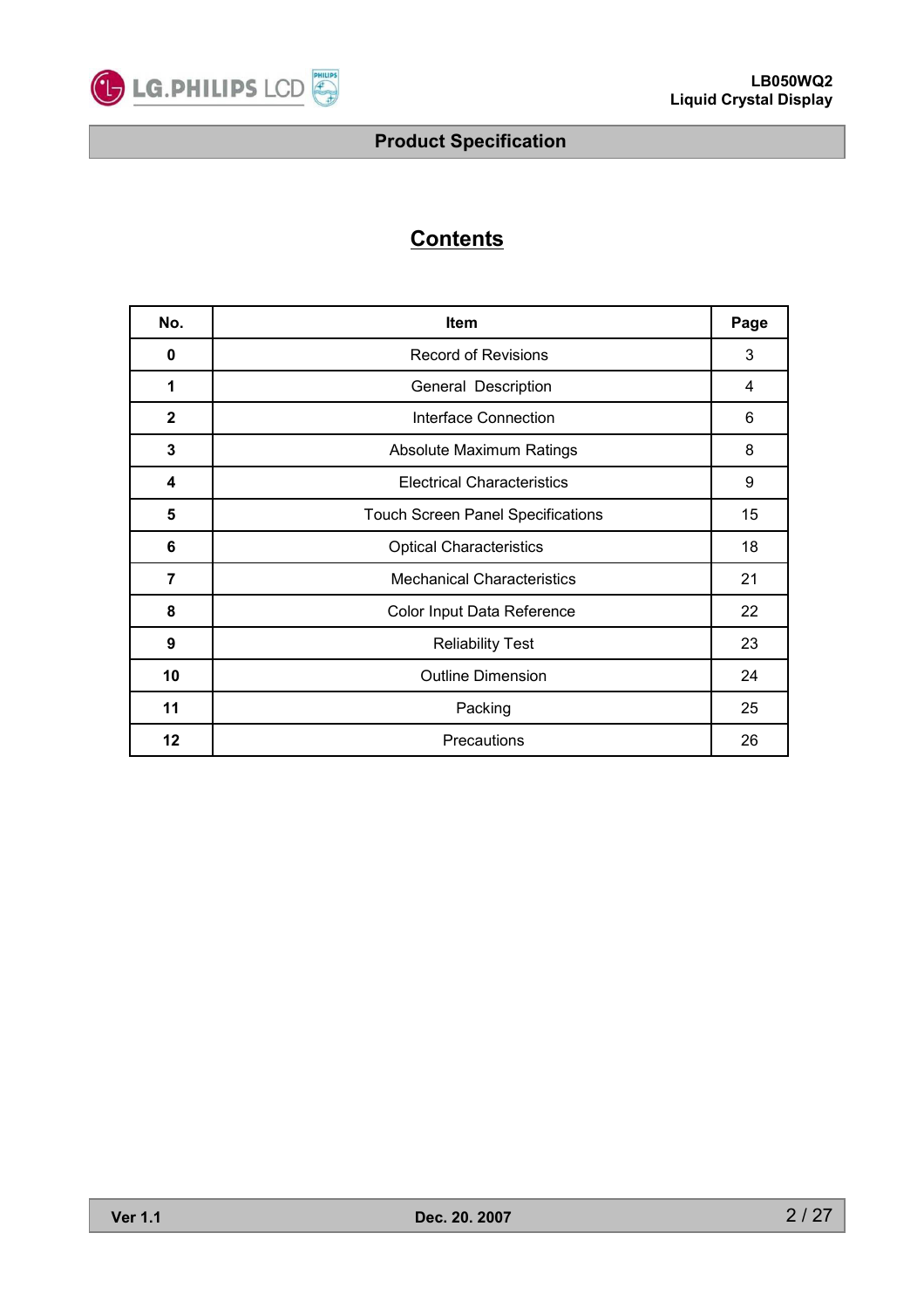

# **Contents**

| No.            | <b>Item</b>                              | Page |  |  |  |  |
|----------------|------------------------------------------|------|--|--|--|--|
| 0              | <b>Record of Revisions</b>               | 3    |  |  |  |  |
| 1              | General Description                      |      |  |  |  |  |
| $\mathbf{2}$   | Interface Connection                     | 6    |  |  |  |  |
| 3              | Absolute Maximum Ratings                 | 8    |  |  |  |  |
| 4              | <b>Electrical Characteristics</b>        | 9    |  |  |  |  |
| 5              | <b>Touch Screen Panel Specifications</b> | 15   |  |  |  |  |
| 6              | <b>Optical Characteristics</b>           | 18   |  |  |  |  |
| $\overline{7}$ | <b>Mechanical Characteristics</b>        | 21   |  |  |  |  |
| 8              | Color Input Data Reference               | 22   |  |  |  |  |
| 9              | <b>Reliability Test</b>                  | 23   |  |  |  |  |
| 10             | <b>Outline Dimension</b>                 | 24   |  |  |  |  |
| 11             | Packing                                  | 25   |  |  |  |  |
| 12             | Precautions                              | 26   |  |  |  |  |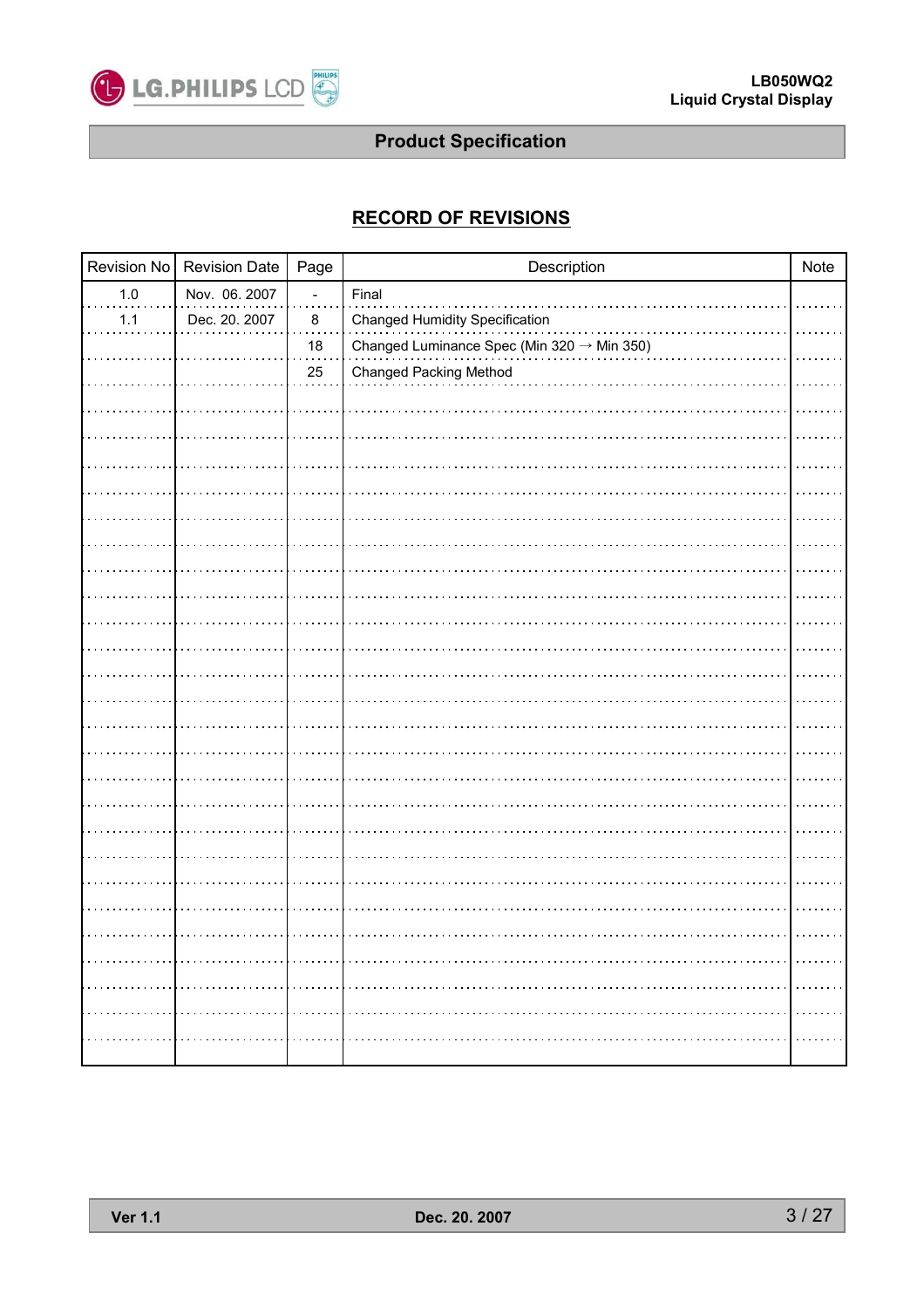

## RECORD OF REVISIONS

|       | Revision No Revision Date | Page    | Description                                            | Note |
|-------|---------------------------|---------|--------------------------------------------------------|------|
| $1.0$ | Nov. 06.2007              |         | Final                                                  |      |
| 1.1   | Dec. 20. 2007             | $\bf 8$ | Changed Humidity Specification                         |      |
|       |                           | 18      | Changed Luminance Spec (Min $320 \rightarrow$ Min 350) |      |
|       |                           | 25      | <b>Changed Packing Method</b>                          |      |
|       |                           |         |                                                        |      |
|       |                           |         |                                                        |      |
|       |                           |         |                                                        |      |
|       |                           |         |                                                        |      |
|       |                           |         |                                                        |      |
|       |                           |         |                                                        |      |
|       |                           |         |                                                        |      |
|       |                           |         |                                                        |      |
|       |                           |         |                                                        |      |
|       |                           |         |                                                        |      |
|       |                           |         |                                                        |      |
|       |                           |         |                                                        |      |
|       |                           |         |                                                        |      |
|       |                           |         |                                                        |      |
|       |                           |         |                                                        |      |
|       |                           |         |                                                        |      |
|       |                           |         |                                                        |      |
|       |                           |         |                                                        |      |
|       |                           |         |                                                        |      |
|       |                           |         |                                                        |      |
|       |                           |         |                                                        |      |
|       |                           |         |                                                        |      |
|       |                           |         |                                                        |      |
|       |                           |         |                                                        |      |
|       |                           |         |                                                        |      |
|       |                           |         |                                                        |      |
|       |                           |         |                                                        |      |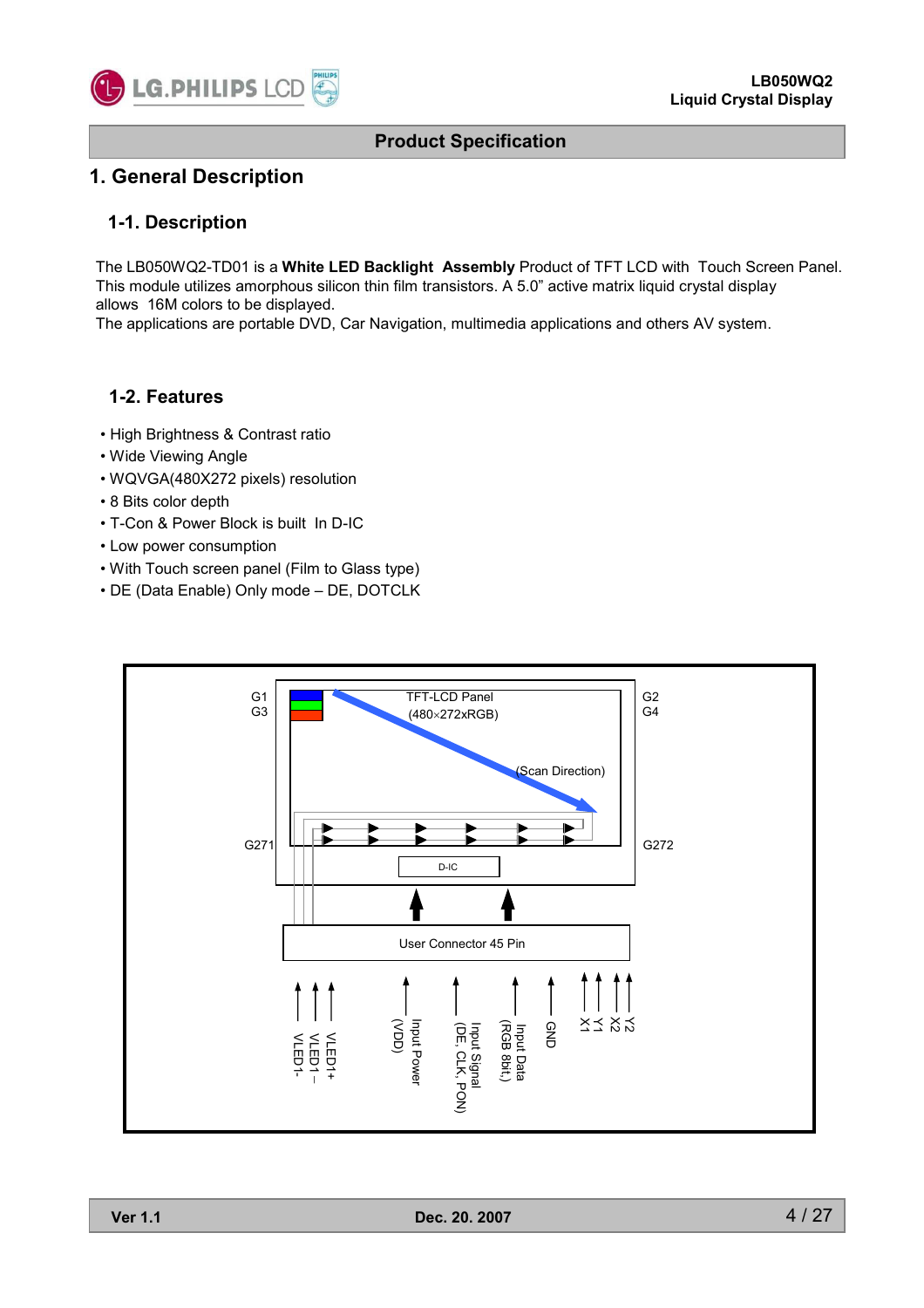

## 1. General Description

### 1-1. Description

The LB050WQ2-TD01 is a White LED Backlight Assembly Product of TFT LCD with Touch Screen Panel. This module utilizes amorphous silicon thin film transistors. A 5.0" active matrix liquid crystal display allows 16M colors to be displayed.

The applications are portable DVD, Car Navigation, multimedia applications and others AV system.

#### 1-2. Features

- High Brightness & Contrast ratio
- Wide Viewing Angle
- WQVGA(480X272 pixels) resolution
- 8 Bits color depth
- T-Con & Power Block is built In D-IC
- Low power consumption
- With Touch screen panel (Film to Glass type)
- DE (Data Enable) Only mode DE, DOTCLK

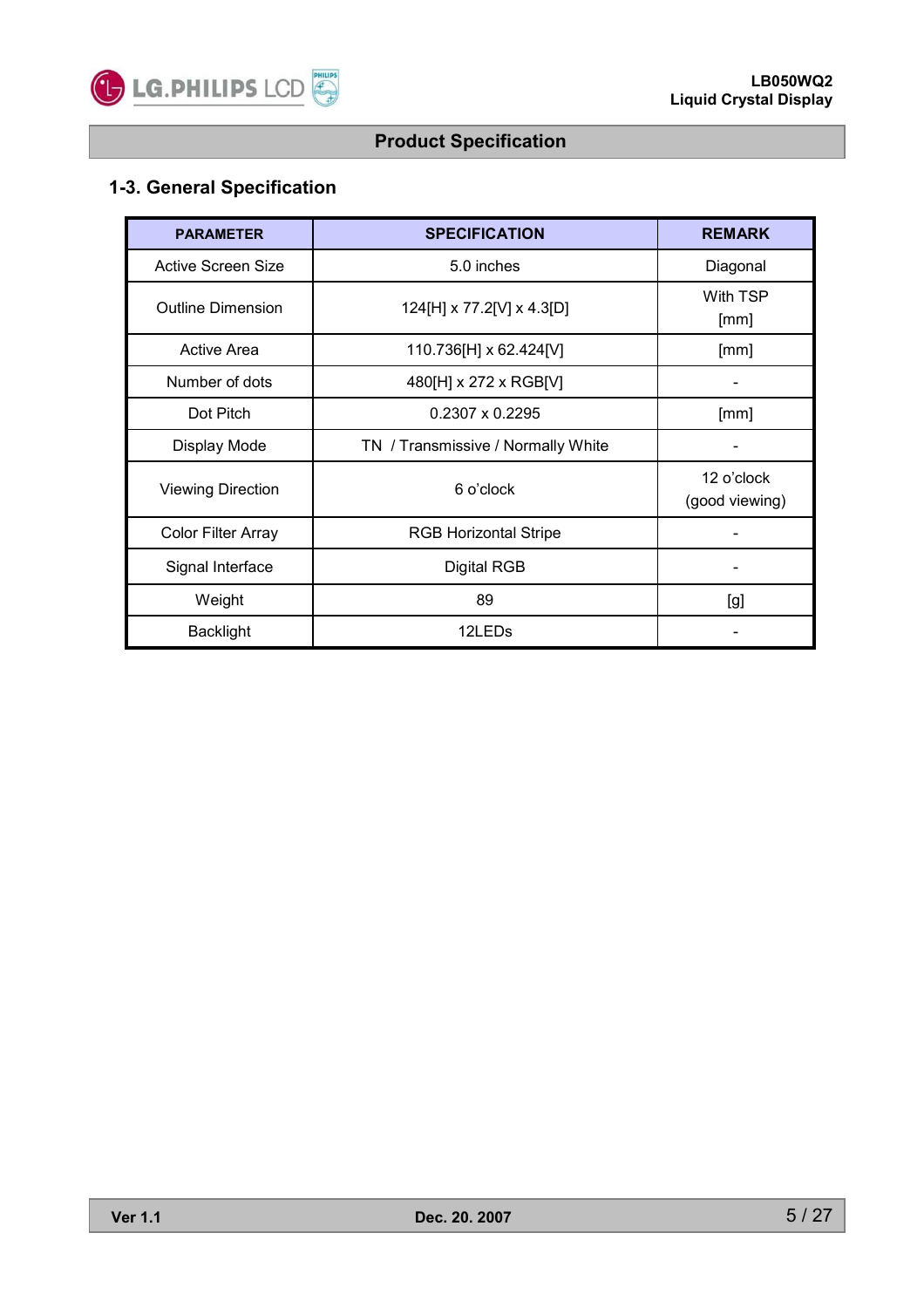

# 1-3. General Specification

| <b>PARAMETER</b>          | <b>SPECIFICATION</b>               | <b>REMARK</b>                |
|---------------------------|------------------------------------|------------------------------|
| <b>Active Screen Size</b> | 5.0 inches                         | Diagonal                     |
| <b>Outline Dimension</b>  | 124[H] x 77.2[V] x 4.3[D]          | With TSP<br>[mm]             |
| <b>Active Area</b>        | 110.736[H] x 62.424[V]             | [mm]                         |
| Number of dots            | 480[H] x 272 x RGB[V]              |                              |
| Dot Pitch                 | $0.2307 \times 0.2295$             | [mm]                         |
| Display Mode              | TN / Transmissive / Normally White |                              |
| <b>Viewing Direction</b>  | 6 o'clock                          | 12 o'clock<br>(good viewing) |
| Color Filter Array        | <b>RGB Horizontal Stripe</b>       |                              |
| Signal Interface          | <b>Digital RGB</b>                 |                              |
| Weight                    | 89                                 | [g]                          |
| <b>Backlight</b>          | 12LED <sub>s</sub>                 |                              |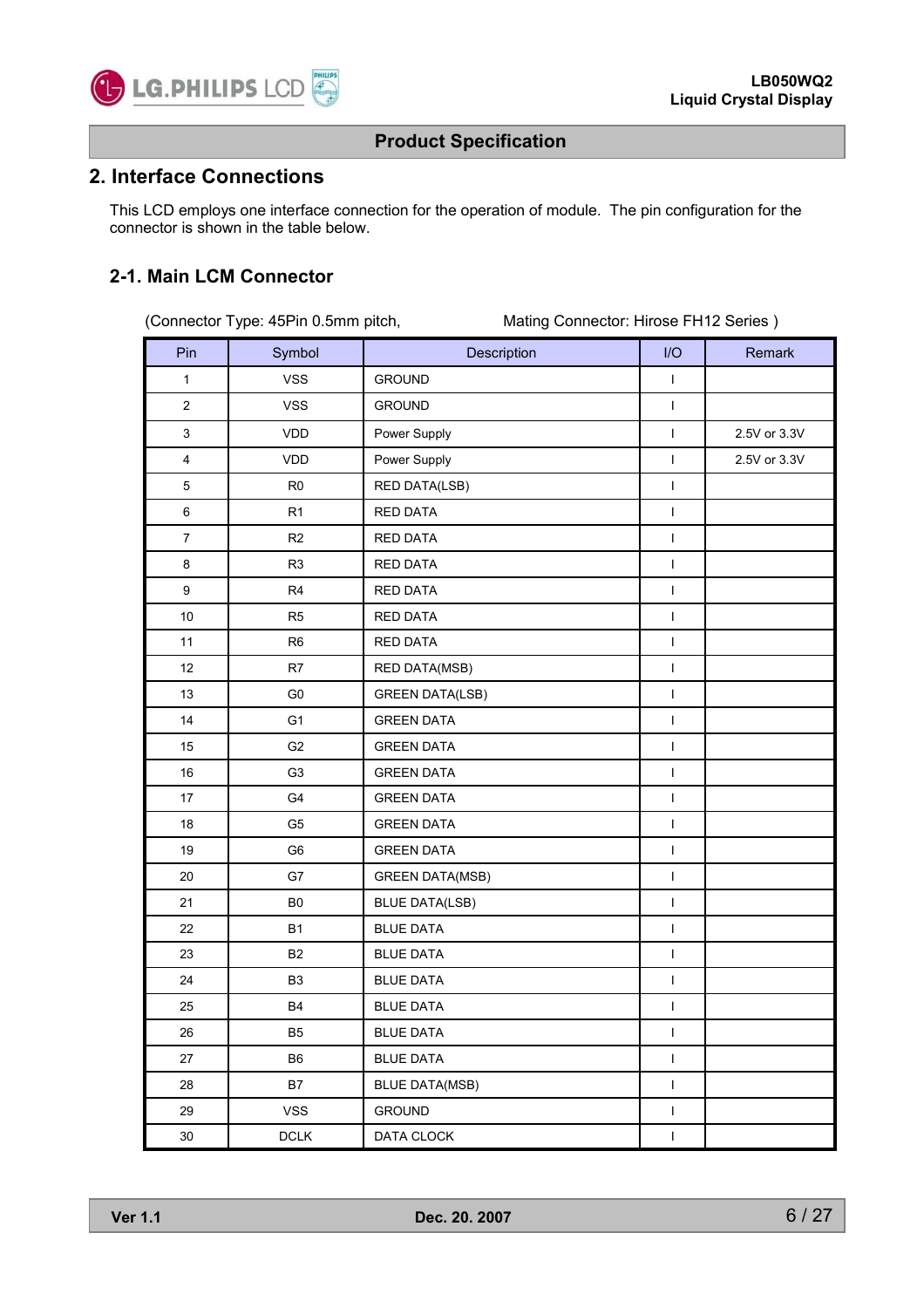

### 2. Interface Connections

This LCD employs one interface connection for the operation of module. The pin configuration for the connector is shown in the table below.

### 2-1. Main LCM Connector

(Connector Type: 45Pin 0.5mm pitch, Mating Connector: Hirose FH12 Series )

| Pin                       | Symbol         | Description            | I/O          | Remark       |
|---------------------------|----------------|------------------------|--------------|--------------|
| $\mathbf{1}$              | <b>VSS</b>     | <b>GROUND</b>          | $\mathbf{I}$ |              |
| $\overline{c}$            | <b>VSS</b>     | <b>GROUND</b>          | $\mathsf I$  |              |
| $\ensuremath{\mathsf{3}}$ | VDD            | Power Supply           | $\mathbf{I}$ | 2.5V or 3.3V |
| $\overline{\mathbf{4}}$   | <b>VDD</b>     | Power Supply           | $\mathbf{I}$ | 2.5V or 3.3V |
| $\mathbf 5$               | R <sub>0</sub> | RED DATA(LSB)          | I            |              |
| $\,6\,$                   | R <sub>1</sub> | <b>RED DATA</b>        | I            |              |
| $\overline{7}$            | R2             | RED DATA               | $\mathbf{I}$ |              |
| 8                         | R <sub>3</sub> | <b>RED DATA</b>        | $\mathsf I$  |              |
| $\boldsymbol{9}$          | R <sub>4</sub> | RED DATA               | $\mathbf{I}$ |              |
| $10$                      | R <sub>5</sub> | <b>RED DATA</b>        | I            |              |
| 11                        | R <sub>6</sub> | RED DATA               | $\mathbf{I}$ |              |
| 12                        | R7             | <b>RED DATA(MSB)</b>   | $\mathbf{I}$ |              |
| 13                        | ${\rm G0}$     | <b>GREEN DATA(LSB)</b> | $\mathsf I$  |              |
| 14                        | G <sub>1</sub> | <b>GREEN DATA</b>      | $\mathbf{I}$ |              |
| 15                        | G <sub>2</sub> | <b>GREEN DATA</b>      | I            |              |
| 16                        | G <sub>3</sub> | <b>GREEN DATA</b>      | $\mathbf{I}$ |              |
| 17                        | G4             | <b>GREEN DATA</b>      | $\mathsf I$  |              |
| 18                        | G <sub>5</sub> | <b>GREEN DATA</b>      | $\mathsf I$  |              |
| 19                        | G <sub>6</sub> | <b>GREEN DATA</b>      | $\mathbf{I}$ |              |
| 20                        | G7             | <b>GREEN DATA(MSB)</b> | $\mathbf{I}$ |              |
| 21                        | B <sub>0</sub> | <b>BLUE DATA(LSB)</b>  | $\mathsf{I}$ |              |
| 22                        | <b>B1</b>      | <b>BLUE DATA</b>       | $\mathbf{I}$ |              |
| 23                        | <b>B2</b>      | <b>BLUE DATA</b>       | $\mathbf{I}$ |              |
| 24                        | B <sub>3</sub> | <b>BLUE DATA</b>       | $\mathbf{I}$ |              |
| 25                        | B4             | <b>BLUE DATA</b>       | I            |              |
| 26                        | B5             | <b>BLUE DATA</b>       | $\mathbf{I}$ |              |
| 27                        | B6             | <b>BLUE DATA</b>       | $\mathbf{I}$ |              |
| 28                        | <b>B7</b>      | <b>BLUE DATA(MSB)</b>  | $\mathsf I$  |              |
| 29                        | <b>VSS</b>     | <b>GROUND</b>          | $\mathsf I$  |              |
| $30\,$                    | <b>DCLK</b>    | DATA CLOCK             | $\mathsf{I}$ |              |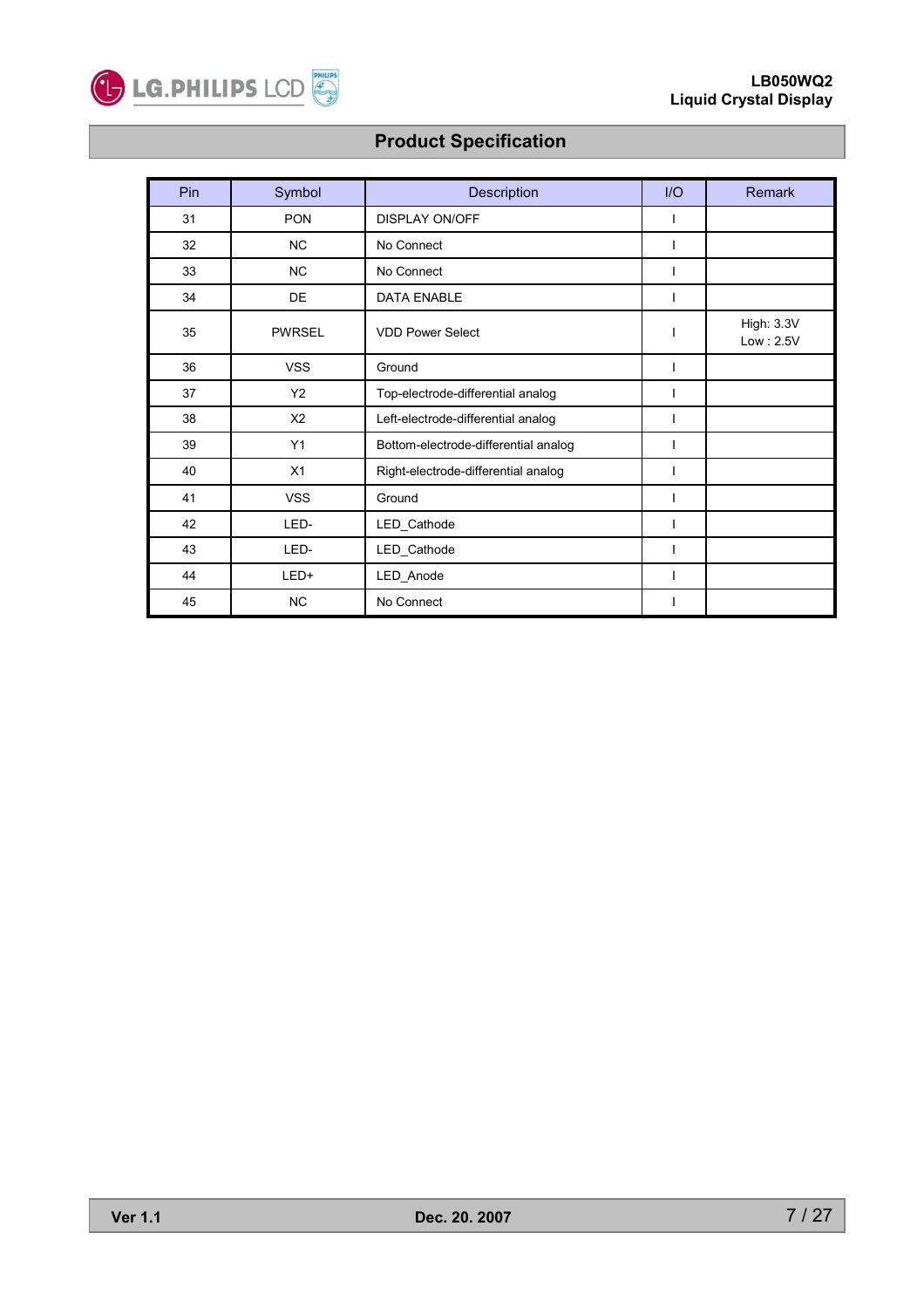

| Pin | Symbol         | Description                          | $II$ | <b>Remark</b>           |
|-----|----------------|--------------------------------------|------|-------------------------|
| 31  | <b>PON</b>     | <b>DISPLAY ON/OFF</b>                | L    |                         |
| 32  | <b>NC</b>      | No Connect                           | I    |                         |
| 33  | <b>NC</b>      | No Connect                           | ı    |                         |
| 34  | DE             | <b>DATA ENABLE</b>                   | ı    |                         |
| 35  | <b>PWRSEL</b>  | <b>VDD Power Select</b>              |      | High: 3.3V<br>Low: 2.5V |
| 36  | <b>VSS</b>     | Ground                               |      |                         |
| 37  | Y2             | Top-electrode-differential analog    |      |                         |
| 38  | X <sub>2</sub> | Left-electrode-differential analog   | ı    |                         |
| 39  | Y1             | Bottom-electrode-differential analog | ı    |                         |
| 40  | X1             | Right-electrode-differential analog  |      |                         |
| 41  | <b>VSS</b>     | Ground                               |      |                         |
| 42  | LED-           | LED_Cathode                          |      |                         |
| 43  | LED-           | LED_Cathode                          | ı    |                         |
| 44  | LED+           | LED_Anode                            | I    |                         |
| 45  | <b>NC</b>      | No Connect                           |      |                         |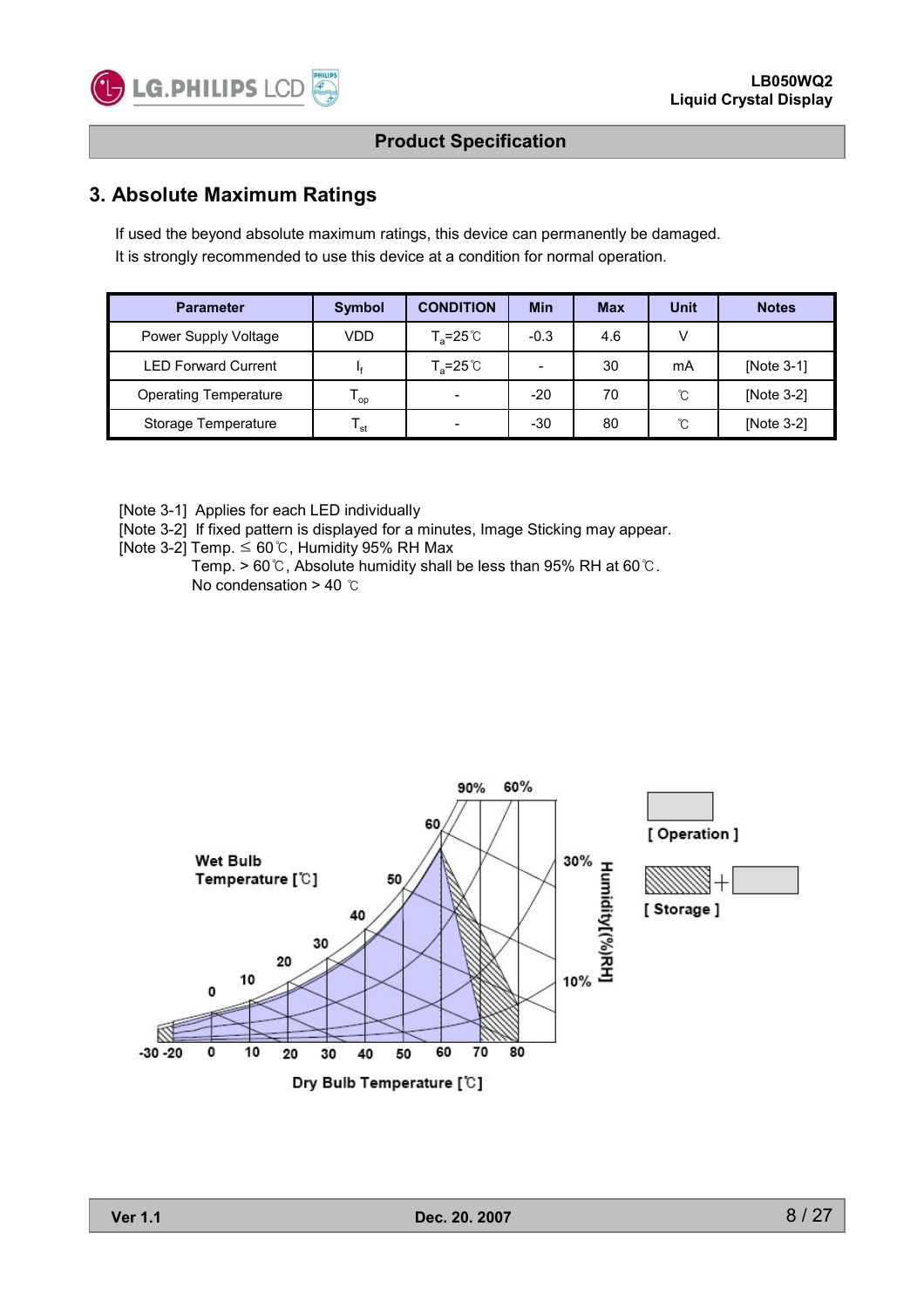

## 3. Absolute Maximum Ratings

If used the beyond absolute maximum ratings, this device can permanently be damaged. It is strongly recommended to use this device at a condition for normal operation.

| <b>Parameter</b>             | <b>Symbol</b>          | <b>CONDITION</b>    | <b>Min</b>               | <b>Max</b> | Unit         | <b>Notes</b> |
|------------------------------|------------------------|---------------------|--------------------------|------------|--------------|--------------|
| Power Supply Voltage         | VDD                    | $T_a = 25^{\circ}C$ | $-0.3$                   | 4.6        | V            |              |
| <b>LED Forward Current</b>   |                        | $T_a = 25^{\circ}C$ | $\overline{\phantom{0}}$ | 30         | mA           | [Note 3-1]   |
| <b>Operating Temperature</b> | $\mathsf{\Gamma_{op}}$ |                     | $-20$                    | 70         | $^{\circ}$ C | [Note 3-2]   |
| Storage Temperature          | ╹st                    | -                   | -30                      | 80         | °C           | [Note 3-2]   |

[Note 3-1] Applies for each LED individually

[Note 3-2] If fixed pattern is displayed for a minutes, Image Sticking may appear.

[Note 3-2] Temp.  $\leq 60^{\circ}$ C, Humidity 95% RH Max

Temp. > 60 $\degree$ C, Absolute humidity shall be less than 95% RH at 60 $\degree$ C. No condensation  $> 40$   $\degree$ 

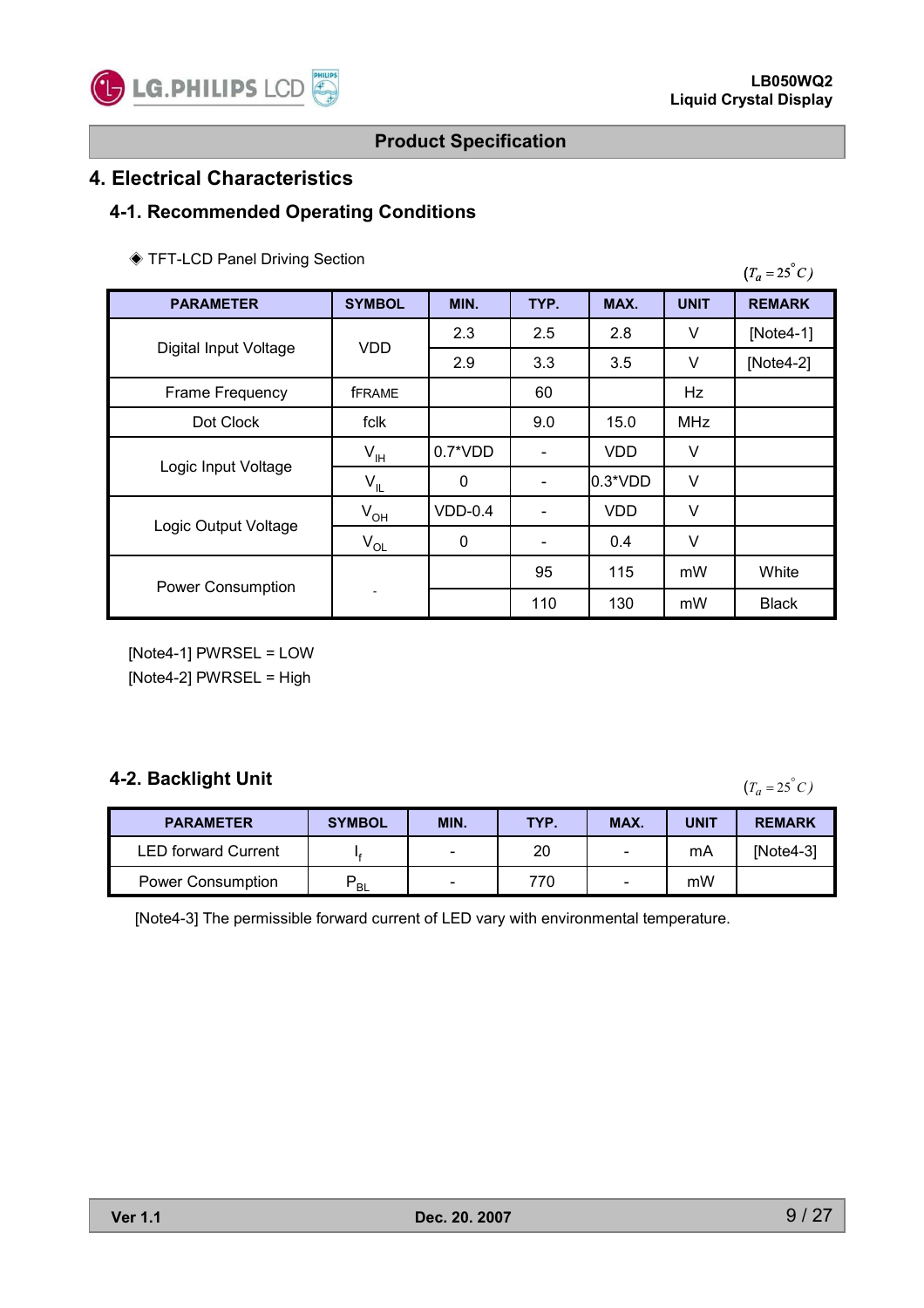

#### 4. Electrical Characteristics

## 4-1. Recommended Operating Conditions

TFT-LCD Panel Driving Section

| $\vee$ LOD . and Driving Occion |               |            |                          |            |             |               |
|---------------------------------|---------------|------------|--------------------------|------------|-------------|---------------|
| <b>PARAMETER</b>                | <b>SYMBOL</b> | MIN.       | TYP.                     | MAX.       | <b>UNIT</b> | <b>REMARK</b> |
|                                 | <b>VDD</b>    | 2.3        | 2.5                      | 2.8        | V           | $[Note4-1]$   |
| <b>Digital Input Voltage</b>    |               | 2.9        | 3.3                      | 3.5        | V           | $[Note4-2]$   |
| Frame Frequency                 | <b>fFRAME</b> |            | 60                       |            | Hz          |               |
| Dot Clock                       | fclk          |            | 9.0                      | 15.0       | <b>MHz</b>  |               |
| Logic Input Voltage             | $V_{\sf IH}$  | $0.7^*VDD$ |                          | <b>VDD</b> | V           |               |
|                                 | $V_{IL}$      | 0          |                          | $0.3*VDD$  | V           |               |
|                                 | $V_{OH}$      | $VDD-0.4$  | $\overline{\phantom{a}}$ | <b>VDD</b> | V           |               |
| Logic Output Voltage            | $V_{OL}$      | 0          |                          | 0.4        | V           |               |
| <b>Power Consumption</b>        |               |            | 95                       | 115        | mW          | White         |
|                                 |               |            | 110                      | 130        | mW          | <b>Black</b>  |

[Note4-1] PWRSEL = LOW [Note4-2] PWRSEL = High

### 4-2. Backlight Unit

### $(T_a = 25^\circ C)$

| <b>PARAMETER</b>           | <b>SYMBOL</b> | MIN. | TYP. | MAX. | <b>UNIT</b> | <b>REMARK</b> |
|----------------------------|---------------|------|------|------|-------------|---------------|
| <b>LED forward Current</b> |               | ۰.   | 20   |      | mA          | $[Note4-3]$   |
| <b>Power Consumption</b>   | <b>BL</b>     | -    | 770  | -    | mW          |               |

[Note4-3] The permissible forward current of LED vary with environmental temperature.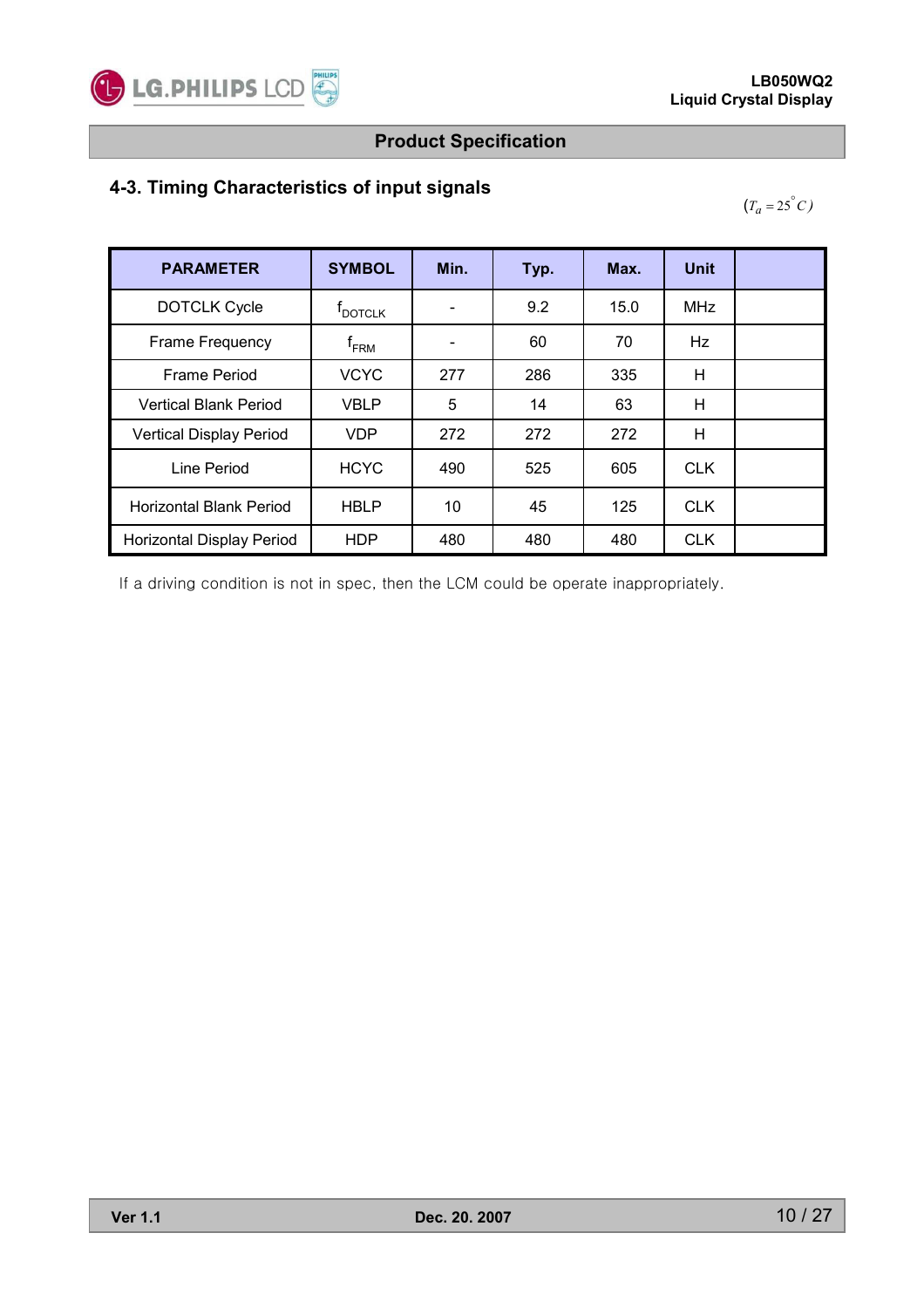

# 4-3. Timing Characteristics of input signals

 $(T_a = 25^\circ C)$ 

| <b>PARAMETER</b>               | <b>SYMBOL</b>       | Min. | Typ. | Max. | <b>Unit</b> |  |
|--------------------------------|---------------------|------|------|------|-------------|--|
| <b>DOTCLK Cycle</b>            | $f_{\text{DOTCLK}}$ |      | 9.2  | 15.0 | <b>MHz</b>  |  |
| <b>Frame Frequency</b>         | $f_{\sf FRM}$       |      | 60   | 70   | Hz          |  |
| <b>Frame Period</b>            | <b>VCYC</b>         | 277  | 286  | 335  | H           |  |
| <b>Vertical Blank Period</b>   | <b>VBLP</b>         | 5    | 14   | 63   | H           |  |
| <b>Vertical Display Period</b> | <b>VDP</b>          | 272  | 272  | 272  | H           |  |
| Line Period                    | <b>HCYC</b>         | 490  | 525  | 605  | <b>CLK</b>  |  |
| <b>Horizontal Blank Period</b> | <b>HBLP</b>         | 10   | 45   | 125  | <b>CLK</b>  |  |
| Horizontal Display Period      | <b>HDP</b>          | 480  | 480  | 480  | <b>CLK</b>  |  |

If a driving condition is not in spec, then the LCM could be operate inappropriately.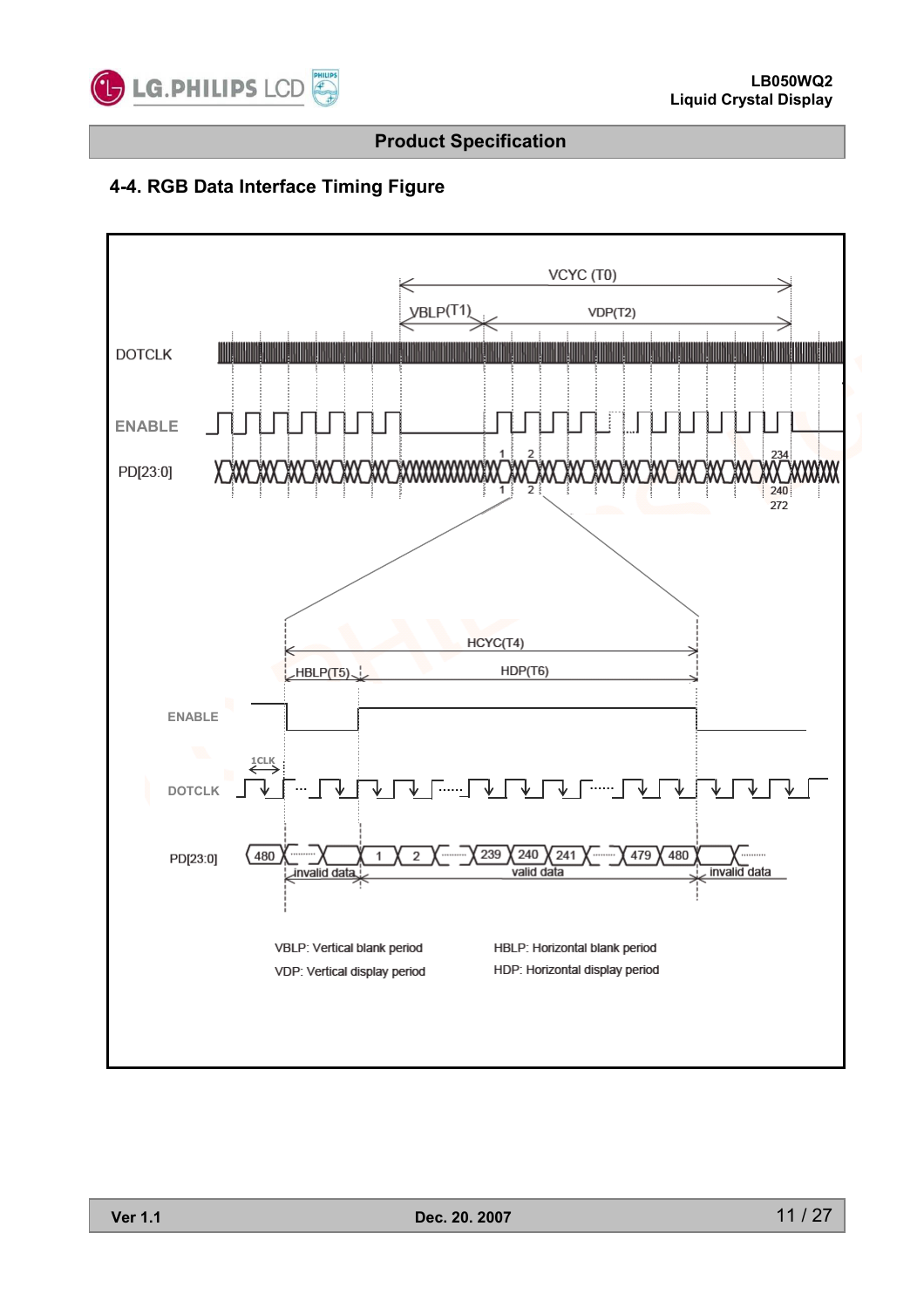

## 4-4. RGB Data Interface Timing Figure

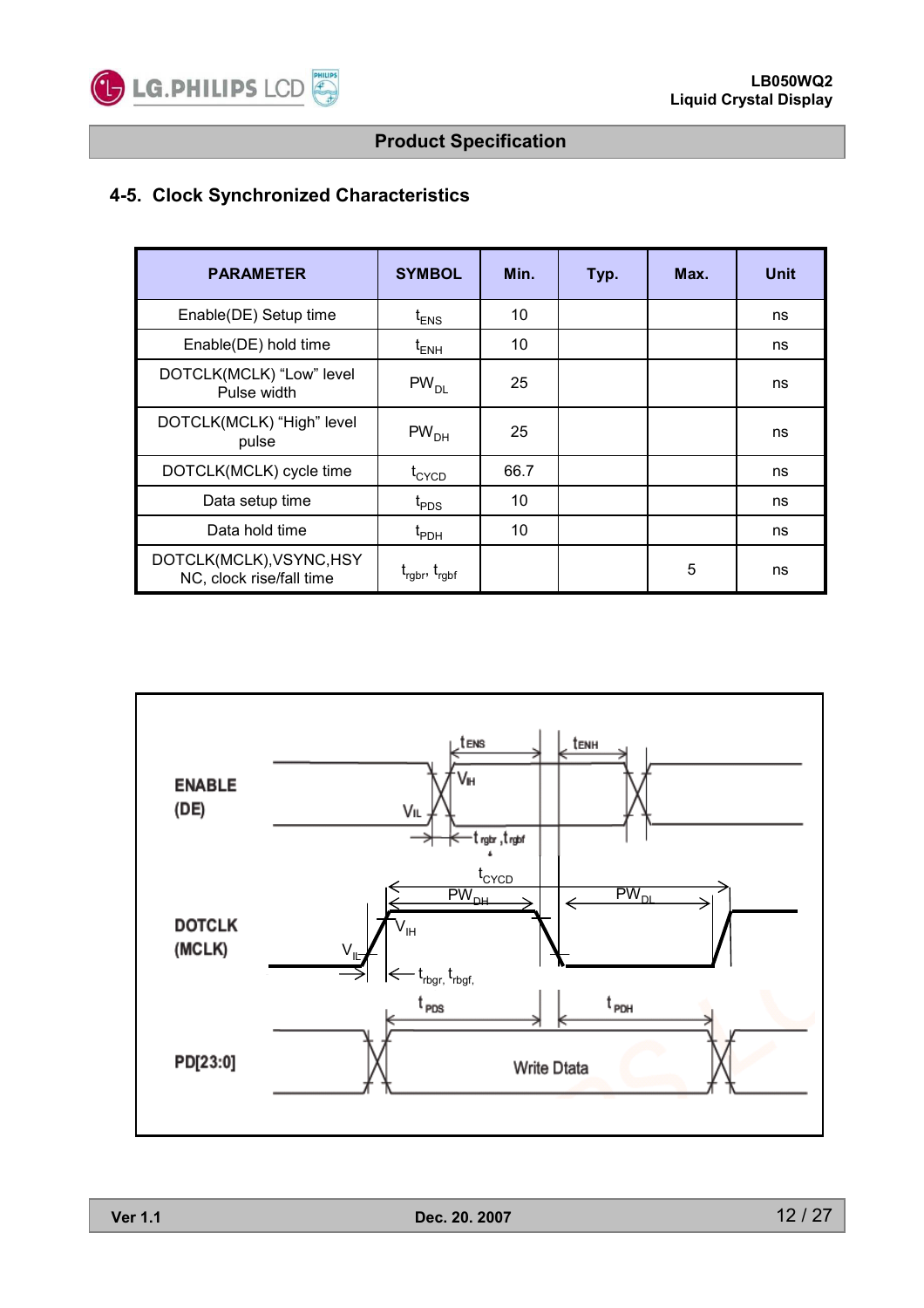

## 4-5. Clock Synchronized Characteristics

| <b>PARAMETER</b>                                     | <b>SYMBOL</b>                         | Min. | Typ. | Max. | <b>Unit</b> |
|------------------------------------------------------|---------------------------------------|------|------|------|-------------|
| Enable(DE) Setup time                                | $t_{ENS}$                             | 10   |      |      | ns          |
| Enable(DE) hold time                                 | $\mathfrak{t}_{\mathsf{ENH}}$         | 10   |      |      | ns          |
| DOTCLK(MCLK) "Low" level<br>Pulse width              | $PW_{DI}$                             | 25   |      |      | ns          |
| DOTCLK(MCLK) "High" level<br>pulse                   | PW <sub>DH</sub>                      | 25   |      |      | ns          |
| DOTCLK(MCLK) cycle time                              | $t_{\text{CYCD}}$                     | 66.7 |      |      | ns          |
| Data setup time                                      | $t_{\text{PDS}}$                      | 10   |      |      | ns          |
| Data hold time                                       | t <sub>PDH</sub>                      | 10   |      |      | ns          |
| DOTCLK(MCLK), VSYNC, HSY<br>NC, clock rise/fall time | t <sub>rgbr</sub> , t <sub>rgbf</sub> |      |      | 5    | ns          |

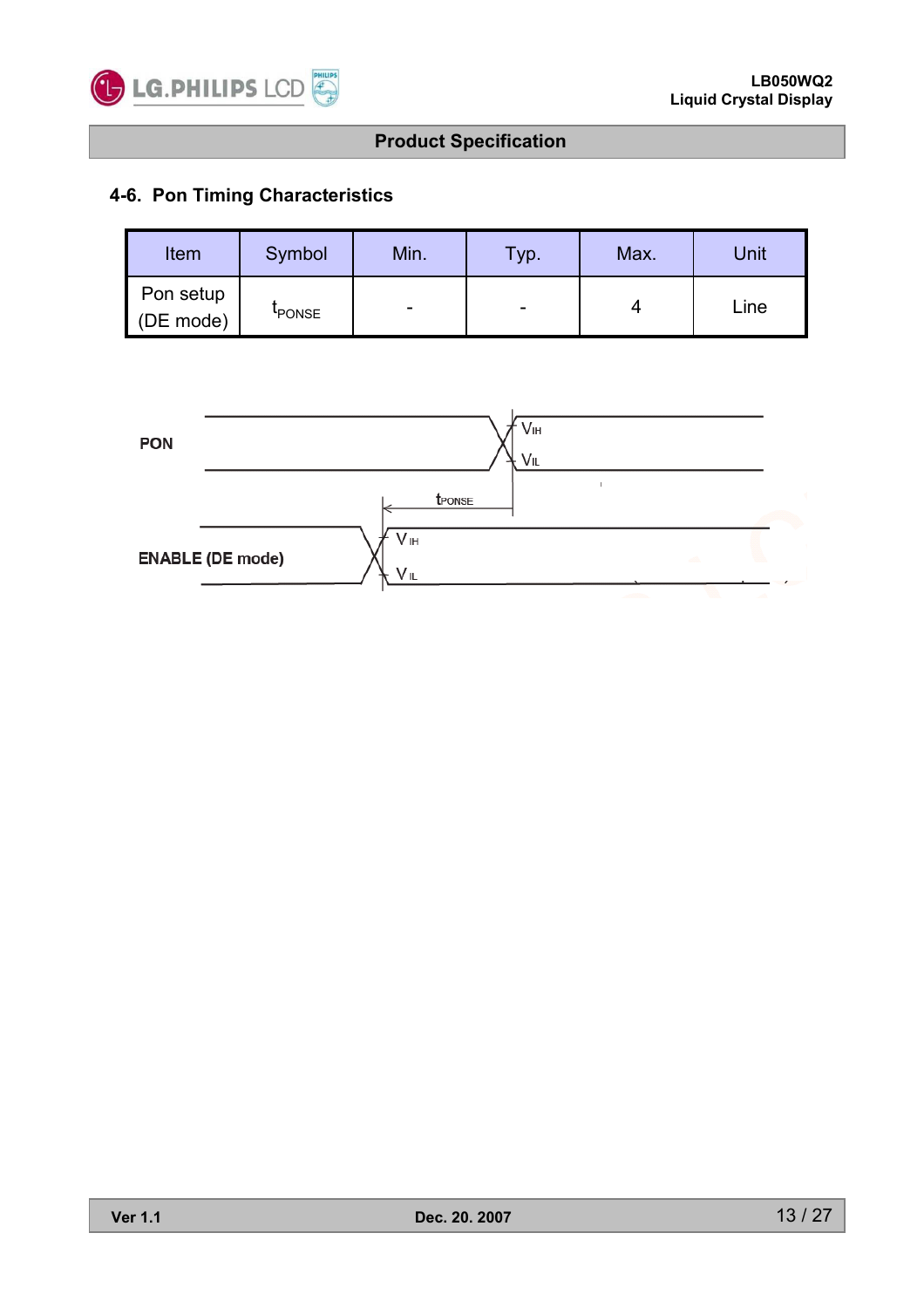

## 4-6. Pon Timing Characteristics

| Item                   | Symbol       | Min. | <b>Typ</b>               | Max. | Unit |
|------------------------|--------------|------|--------------------------|------|------|
| Pon setup<br>(DE mode) | <b>PONSE</b> | -    | $\overline{\phantom{a}}$ | 4    | Line |

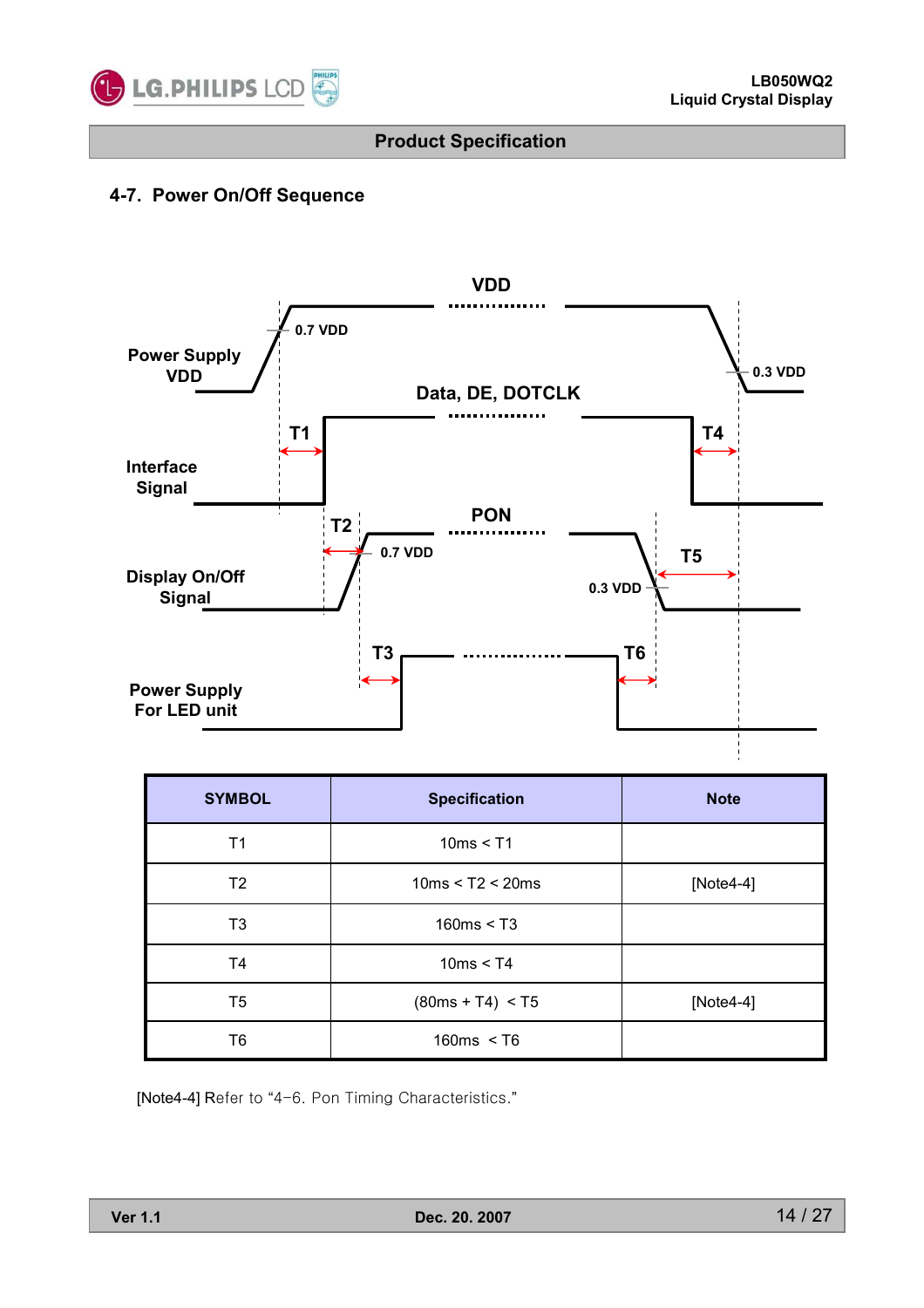

## 4-7. Power On/Off Sequence



| <b>SYMBOL</b>  | <b>Specification</b> | <b>Note</b> |
|----------------|----------------------|-------------|
| T1             | 10ms < 71            |             |
| T <sub>2</sub> | 10ms < T2 < 20ms     | $[Note4-4]$ |
| T <sub>3</sub> | 160ms < T3           |             |
| T <sub>4</sub> | 10ms < T4            |             |
| T <sub>5</sub> | $(80ms + T4) < T5$   | $[Note4-4]$ |
| T6             | 160ms < 76           |             |

[Note4-4] Refer to "4-6. Pon Timing Characteristics."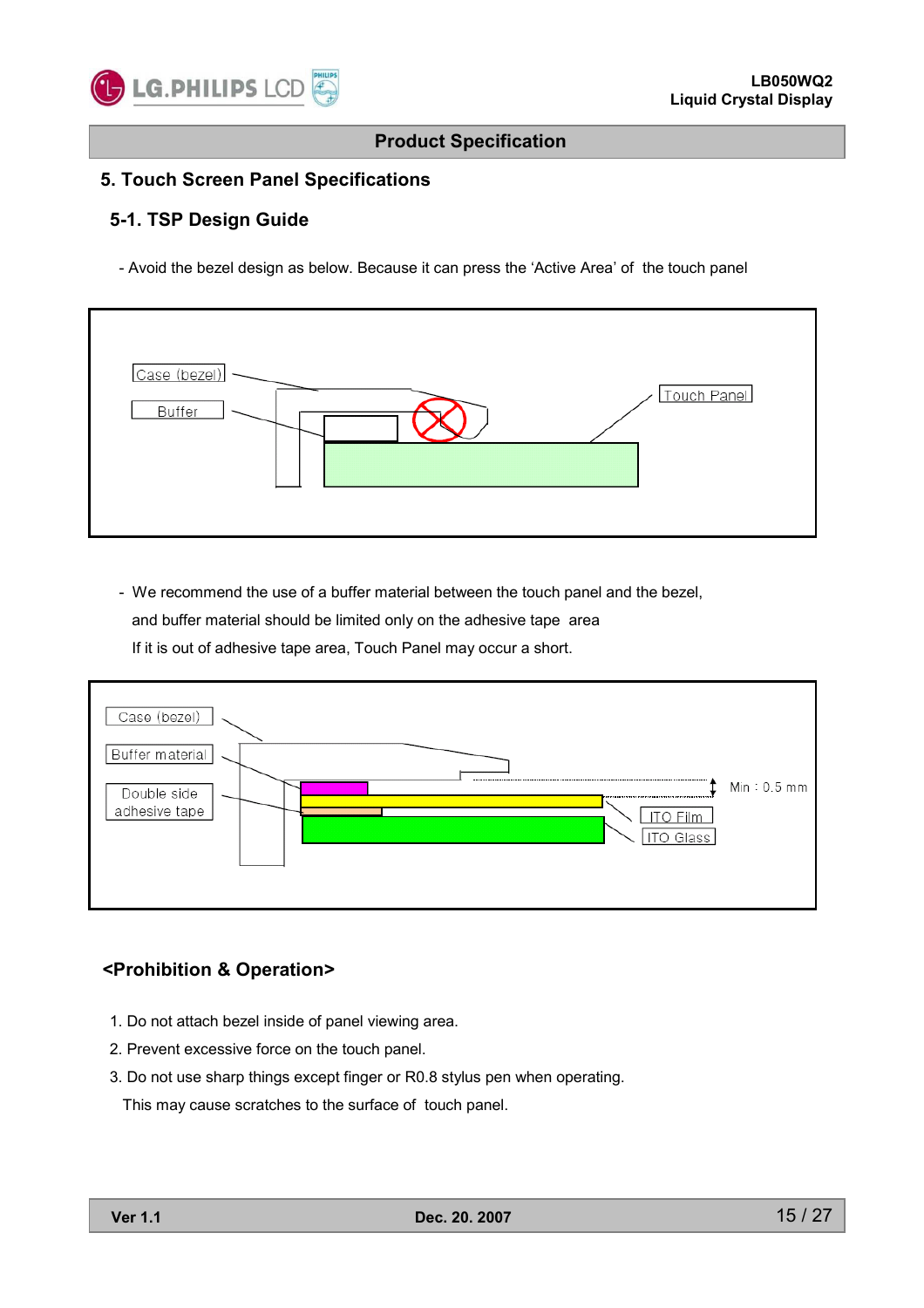

#### 5. Touch Screen Panel Specifications

#### 5-1. TSP Design Guide

- Avoid the bezel design as below. Because it can press the 'Active Area' of the touch panel



- We recommend the use of a buffer material between the touch panel and the bezel, and buffer material should be limited only on the adhesive tape area If it is out of adhesive tape area, Touch Panel may occur a short.

|--|

#### <Prohibition & Operation>

- 1. Do not attach bezel inside of panel viewing area.
- 2. Prevent excessive force on the touch panel.
- 3. Do not use sharp things except finger or R0.8 stylus pen when operating.

This may cause scratches to the surface of touch panel.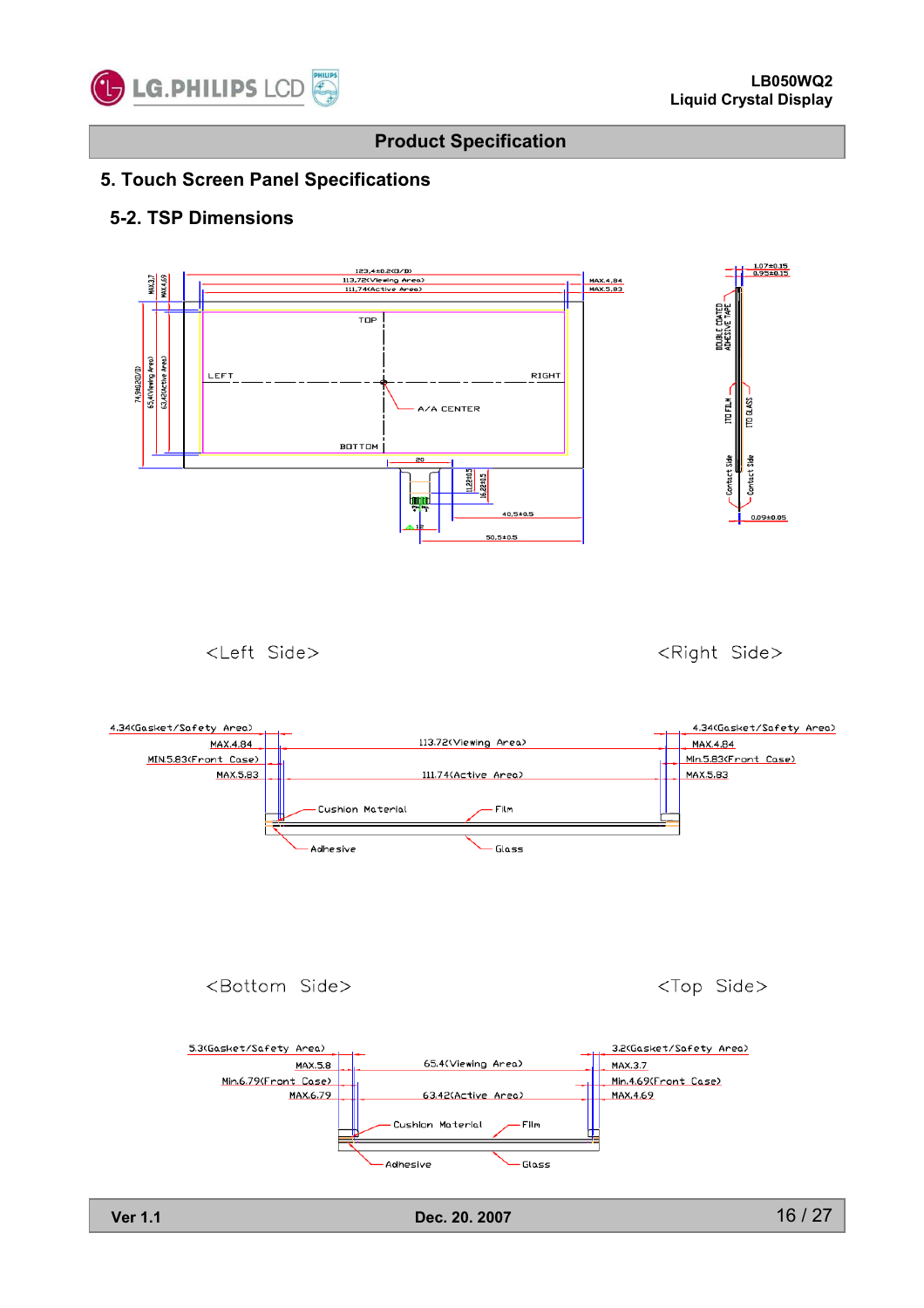

### 5. Touch Screen Panel Specifications

## 5-2. TSP Dimensions

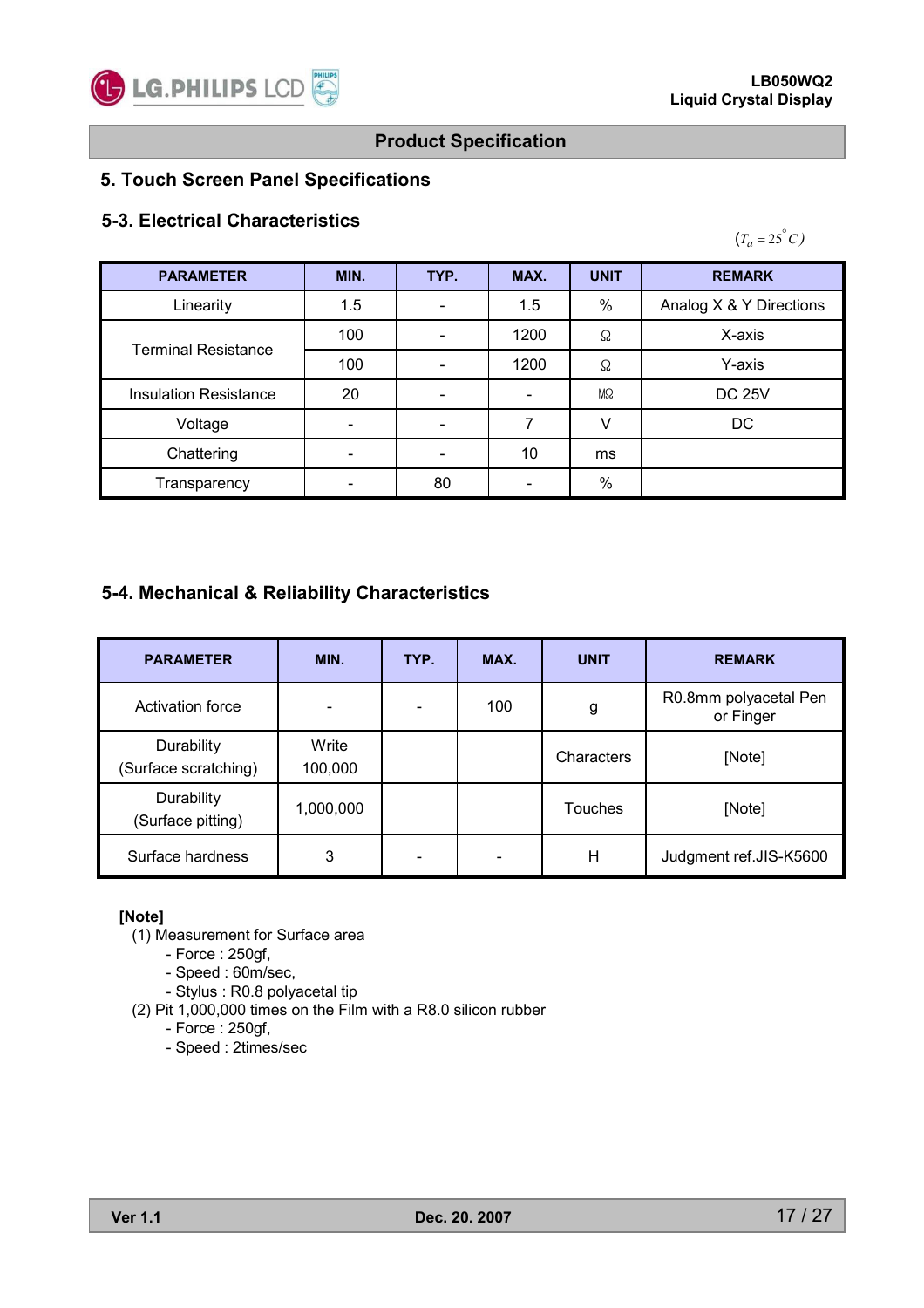



## 5. Touch Screen Panel Specifications

## 5-3. Electrical Characteristics

 $(T_a = 25^\circ C)$ 

| <b>PARAMETER</b>             | MIN. | TYP.                     | MAX. | <b>UNIT</b> | <b>REMARK</b>           |
|------------------------------|------|--------------------------|------|-------------|-------------------------|
| Linearity                    | 1.5  | $\overline{\phantom{a}}$ | 1.5  | $\%$        | Analog X & Y Directions |
|                              | 100  |                          | 1200 | Ω           | X-axis                  |
| <b>Terminal Resistance</b>   | 100  |                          | 1200 | Ω           | Y-axis                  |
| <b>Insulation Resistance</b> | 20   | $\overline{\phantom{a}}$ |      | $M\Omega$   | <b>DC 25V</b>           |
| Voltage                      |      | $\overline{\phantom{a}}$ | ⇁    | $\vee$      | DC                      |
| Chattering                   |      |                          | 10   | ms          |                         |
| Transparency                 |      | 80                       |      | $\%$        |                         |

## 5-4. Mechanical & Reliability Characteristics

| <b>PARAMETER</b>                   | MIN.             | TYP. | MAX. | <b>UNIT</b>       | <b>REMARK</b>                      |
|------------------------------------|------------------|------|------|-------------------|------------------------------------|
| <b>Activation force</b>            |                  |      | 100  | g                 | R0.8mm polyacetal Pen<br>or Finger |
| Durability<br>(Surface scratching) | Write<br>100,000 |      |      | <b>Characters</b> | [Note]                             |
| Durability<br>(Surface pitting)    | 1,000,000        |      |      | <b>Touches</b>    | [Note]                             |
| Surface hardness                   | 3                |      |      | H                 | Judgment ref.JIS-K5600             |

#### [Note]

(1) Measurement for Surface area

- Force : 250gf,

- Speed : 60m/sec,

- Stylus : R0.8 polyacetal tip

(2) Pit 1,000,000 times on the Film with a R8.0 silicon rubber

- Force : 250gf,

- Speed : 2times/sec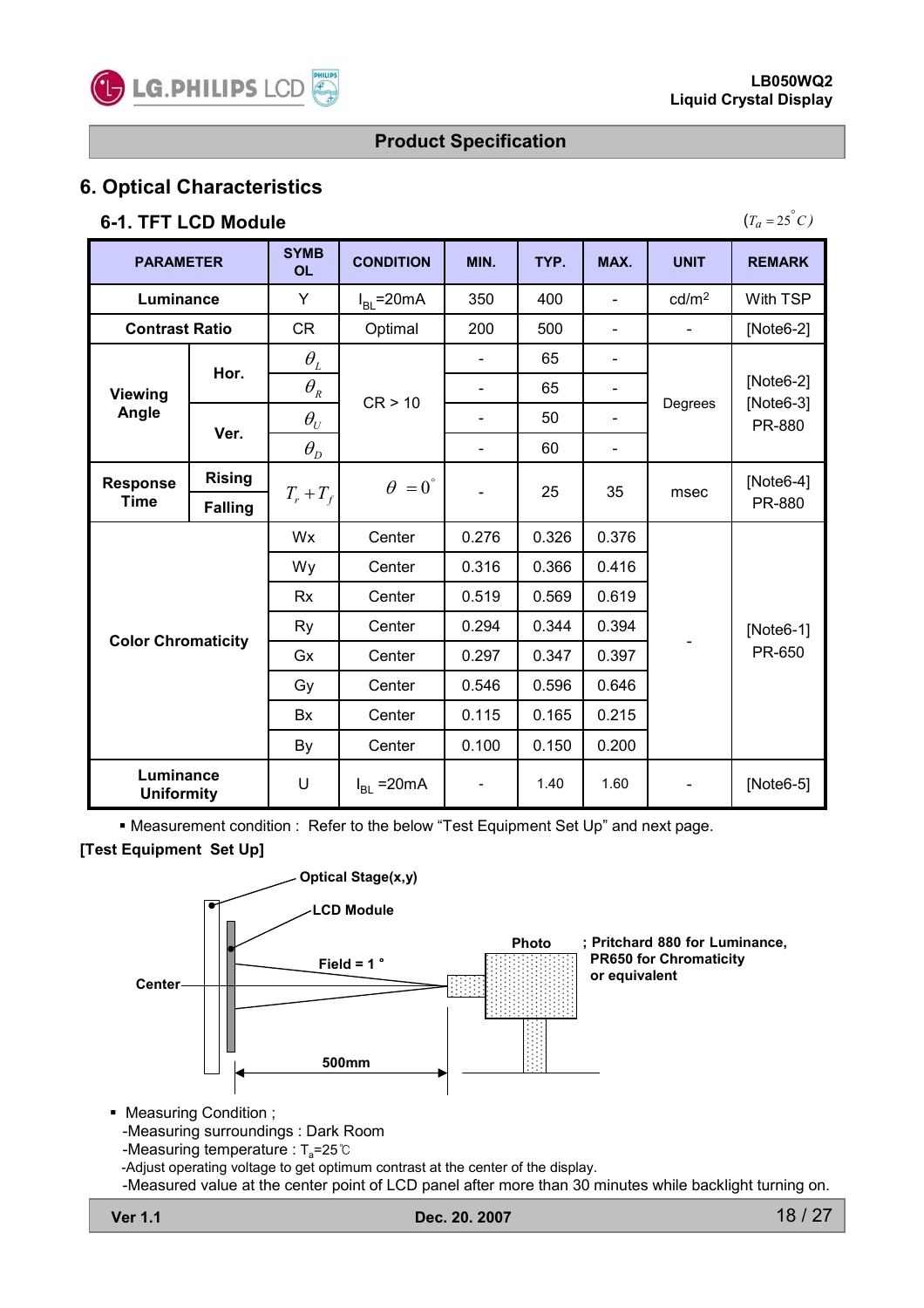

## 6. Optical Characteristics

## 6-1. TFT LCD Module

| " |
|---|
|   |

| <b>PARAMETER</b>               |                | <b>SYMB</b><br><b>OL</b>        | <b>CONDITION</b>       | MIN.  | TYP.  | MAX.           | <b>UNIT</b>       | <b>REMARK</b>            |  |  |
|--------------------------------|----------------|---------------------------------|------------------------|-------|-------|----------------|-------------------|--------------------------|--|--|
| Luminance                      |                | Y                               | $I_{BL}$ =20mA         | 350   | 400   | $\blacksquare$ | cd/m <sup>2</sup> | With TSP                 |  |  |
| <b>Contrast Ratio</b>          |                | CR.                             | Optimal                | 200   | 500   | $\blacksquare$ | $\blacksquare$    | $[Note6-2]$              |  |  |
|                                | Hor.           | $\theta_{\scriptscriptstyle L}$ |                        |       | 65    | $\blacksquare$ |                   |                          |  |  |
| <b>Viewing</b>                 |                | $\theta_{\scriptscriptstyle R}$ | CR > 10                |       | 65    | $\blacksquare$ | Degrees           | $[Note6-2]$<br>[Note6-3] |  |  |
| Angle                          | Ver.           | $\theta_U$                      |                        |       | 50    | $\blacksquare$ |                   | PR-880                   |  |  |
|                                |                | $\theta_{\scriptscriptstyle D}$ |                        |       | 60    | $\blacksquare$ |                   |                          |  |  |
| <b>Response</b>                | <b>Rising</b>  |                                 | $\theta = 0^{\degree}$ |       | 25    | 35             | msec              | [Note6-4]                |  |  |
| <b>Time</b>                    | <b>Falling</b> | $T_r + T_f$                     |                        |       |       |                |                   | PR-880                   |  |  |
|                                |                | Wx                              | Center                 | 0.276 | 0.326 | 0.376          |                   |                          |  |  |
|                                |                | Wy                              | Center                 | 0.316 | 0.366 | 0.416          |                   |                          |  |  |
|                                |                | <b>Rx</b>                       | Center                 | 0.519 | 0.569 | 0.619          |                   |                          |  |  |
|                                |                | Ry                              | Center                 | 0.294 | 0.344 | 0.394          |                   | $[Note6-1]$              |  |  |
| <b>Color Chromaticity</b>      |                | Gx                              | Center                 | 0.297 | 0.347 | 0.397          |                   | PR-650                   |  |  |
|                                |                | Gy                              | Center                 | 0.546 | 0.596 | 0.646          |                   |                          |  |  |
|                                |                | <b>Bx</b>                       | Center                 | 0.115 | 0.165 | 0.215          |                   |                          |  |  |
|                                |                | By                              | Center                 | 0.100 | 0.150 | 0.200          |                   |                          |  |  |
| Luminance<br><b>Uniformity</b> |                | U                               | $I_{BL}$ = 20 mA       |       | 1.40  | 1.60           |                   | $[Note6-5]$              |  |  |

Measurement condition : Refer to the below "Test Equipment Set Up" and next page.

#### [Test Equipment Set Up]



Measuring Condition ;

-Measuring surroundings : Dark Room

-Measuring temperature :  $T_a = 25^{\circ}C$ 

-Adjust operating voltage to get optimum contrast at the center of the display.

-Measured value at the center point of LCD panel after more than 30 minutes while backlight turning on.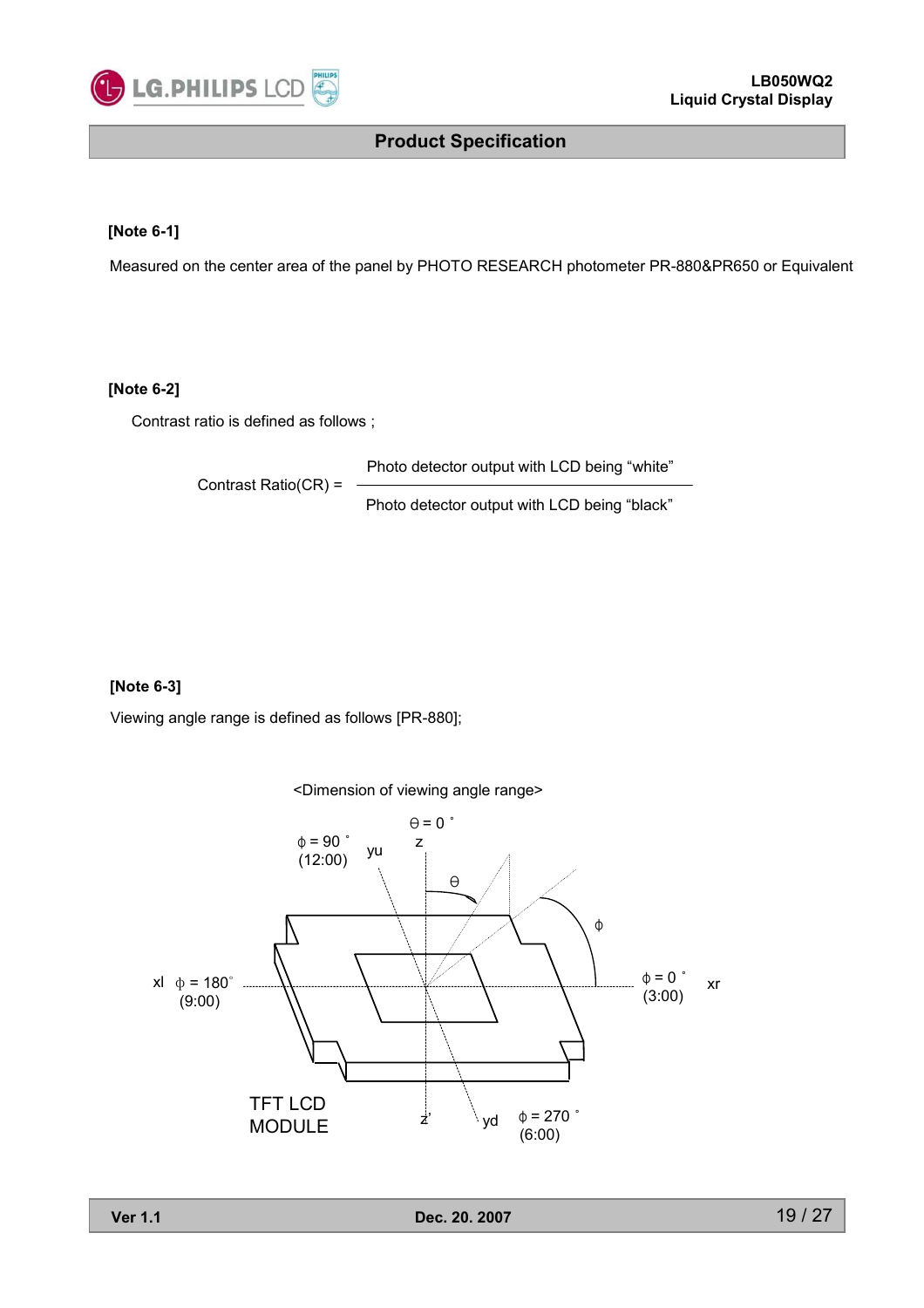

#### [Note 6-1]

Measured on the center area of the panel by PHOTO RESEARCH photometer PR-880&PR650 or Equivalent

#### [Note 6-2]

Contrast ratio is defined as follows ;

Photo detector output with LCD being "white"

Contrast Ratio(CR) =

Photo detector output with LCD being "black"

#### [Note 6-3]

Viewing angle range is defined as follows [PR-880];

<Dimension of viewing angle range>

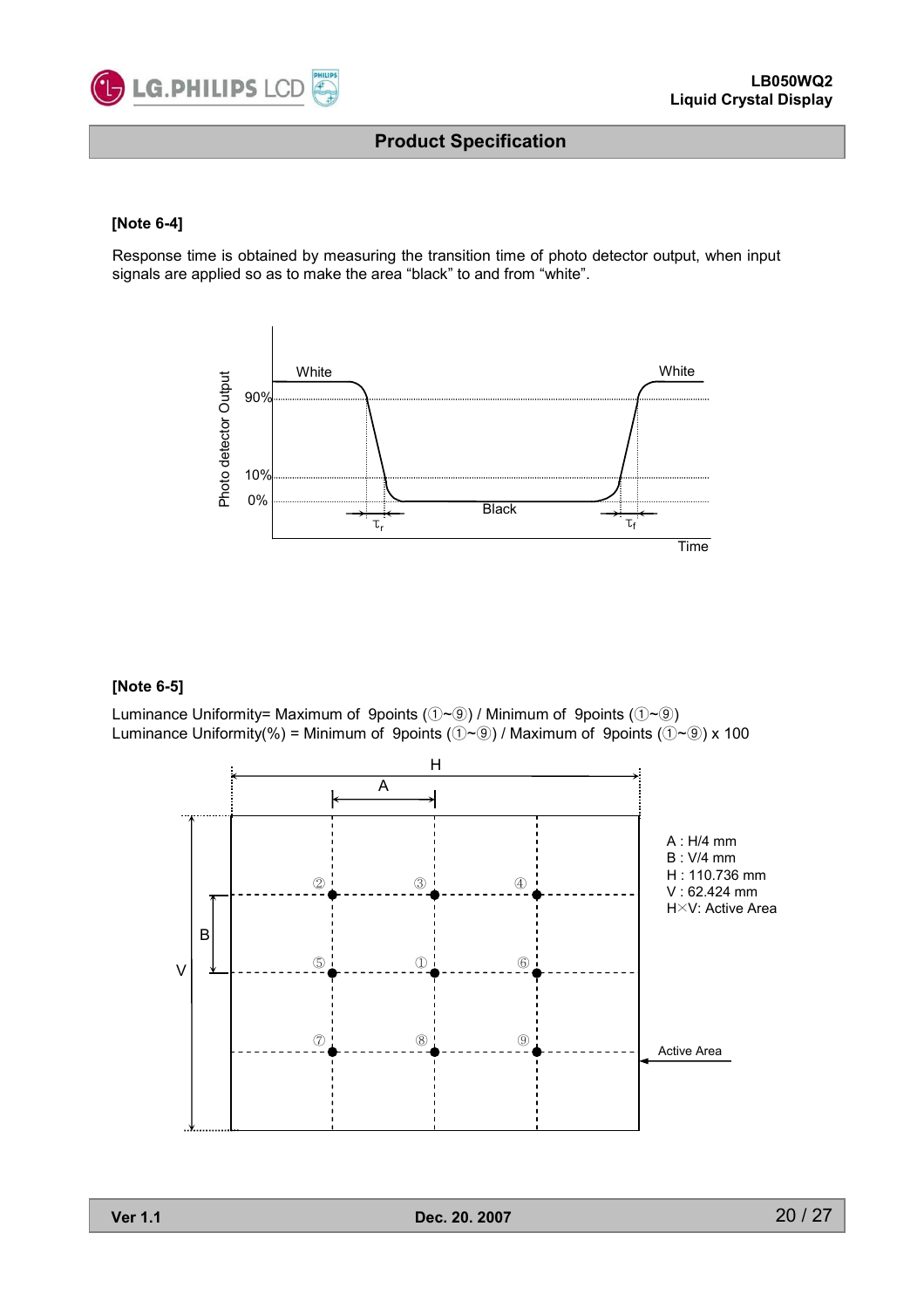

#### [Note 6-4]

Response time is obtained by measuring the transition time of photo detector output, when input signals are applied so as to make the area "black" to and from "white".



#### [Note 6-5]

Luminance Uniformity= Maximum of 9points  $(\hat{U} \sim \hat{U})$  / Minimum of 9points  $(\hat{U} \sim \hat{U})$ Luminance Uniformity(%) = Minimum of 9points ( $(\vec{v} \sim \vec{v})$  / Maximum of 9points ( $(\vec{v} \sim \vec{v})$ ) x 100

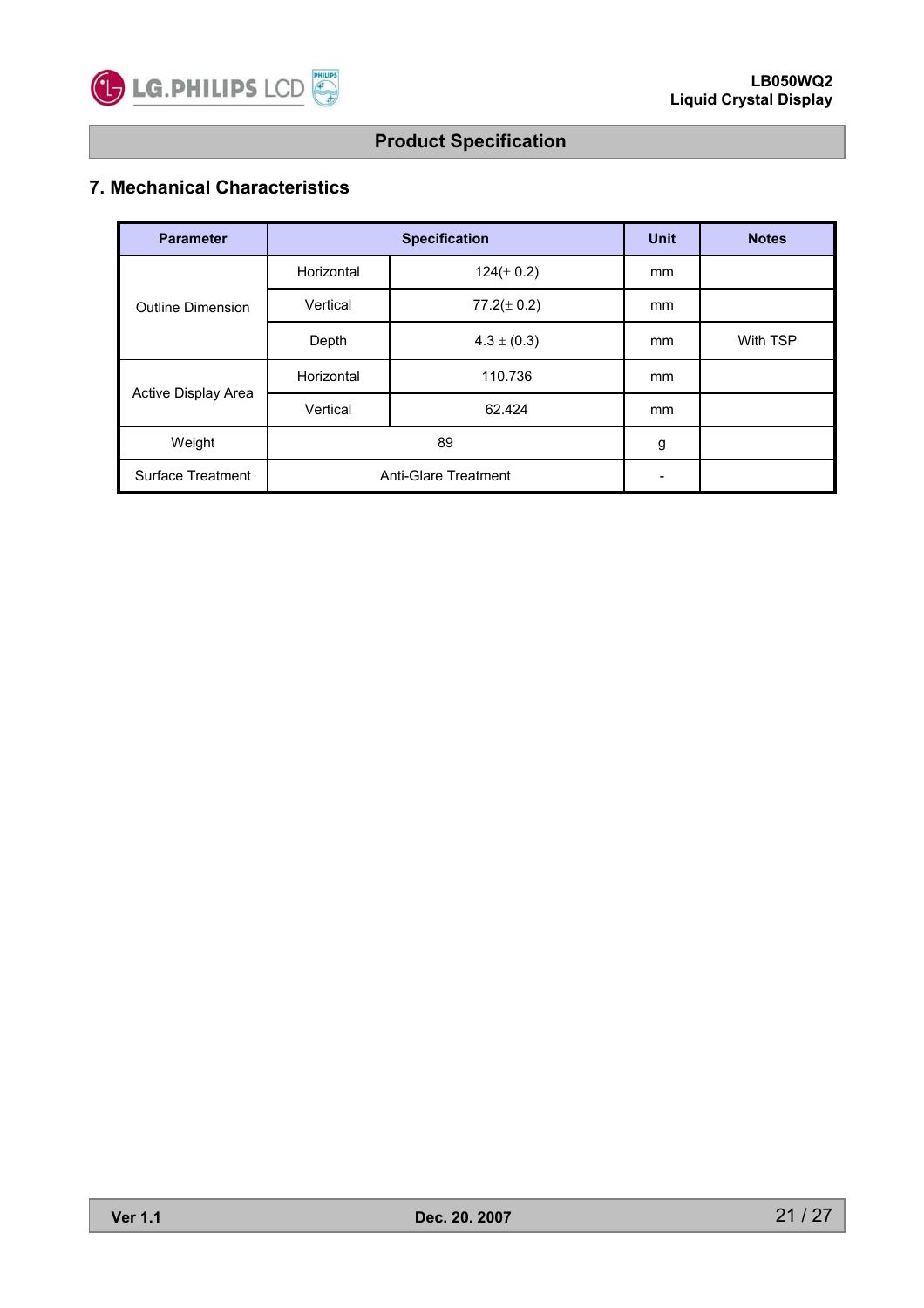

## 7. Mechanical Characteristics

| <b>Parameter</b>         |            | <b>Specification</b>        | <b>Unit</b> | <b>Notes</b> |
|--------------------------|------------|-----------------------------|-------------|--------------|
|                          | Horizontal | $124(\pm 0.2)$              | mm          |              |
| <b>Outline Dimension</b> | Vertical   | $77.2(\pm 0.2)$             | mm          |              |
|                          | Depth      | $4.3 \pm (0.3)$             | mm          | With TSP     |
| Active Display Area      | Horizontal | 110.736                     | mm          |              |
|                          | Vertical   | 62.424                      | mm          |              |
| Weight                   |            | 89                          | g           |              |
| Surface Treatment        |            | <b>Anti-Glare Treatment</b> |             |              |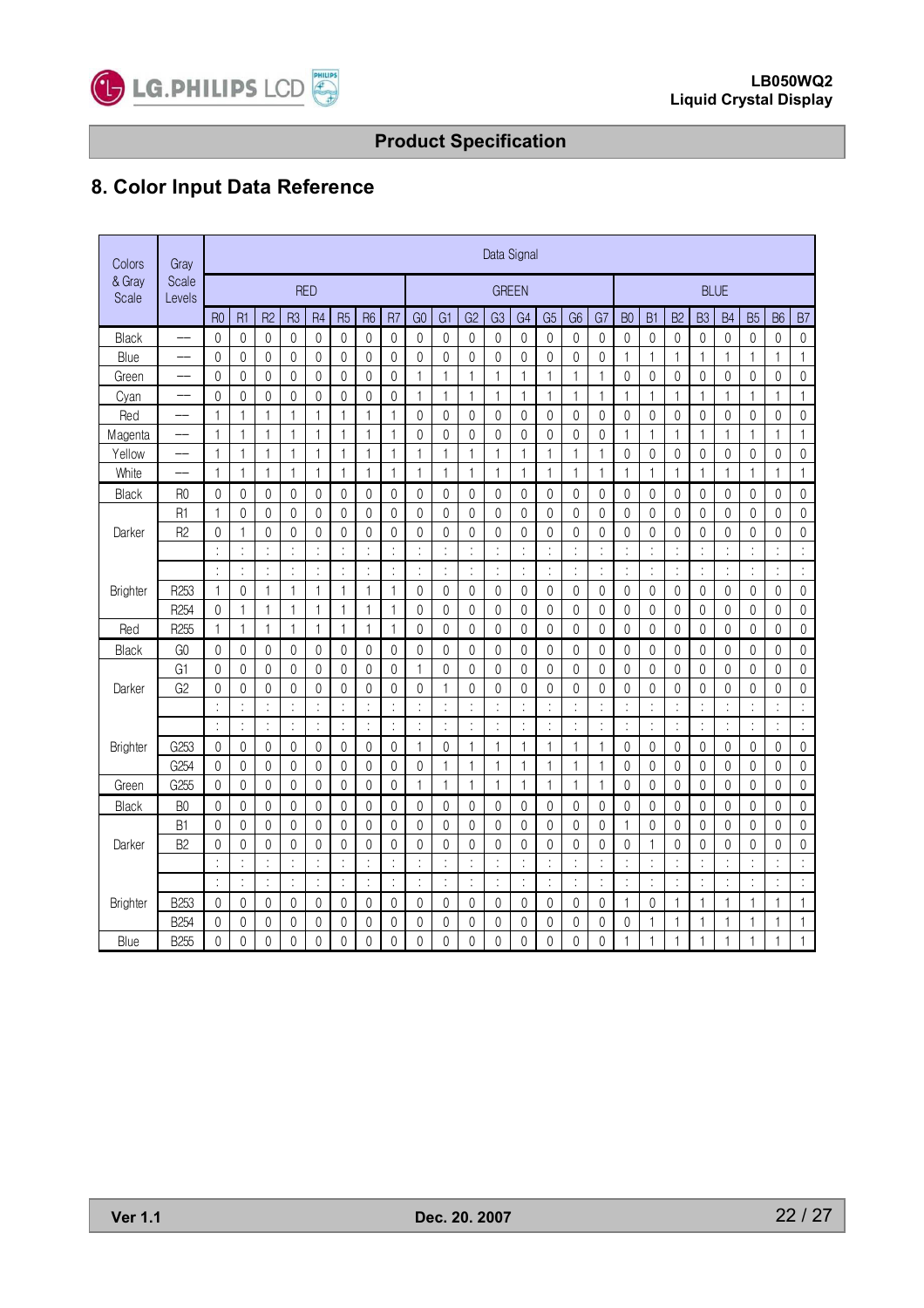

# 8. Color Input Data Reference

| Colors                             | Gray                     | Data Signal                                                                                                                      |                  |              |              |                  |                  |                |                |                |                |                |                  |                      |              |                |                |                |                  |                |                      |                |                      |              |                      |
|------------------------------------|--------------------------|----------------------------------------------------------------------------------------------------------------------------------|------------------|--------------|--------------|------------------|------------------|----------------|----------------|----------------|----------------|----------------|------------------|----------------------|--------------|----------------|----------------|----------------|------------------|----------------|----------------------|----------------|----------------------|--------------|----------------------|
| & Gray<br>Scale<br>Scale<br>Levels |                          | <b>RED</b>                                                                                                                       |                  |              |              |                  |                  |                |                |                | <b>GREEN</b>   |                |                  |                      |              |                |                |                | <b>BLUE</b>      |                |                      |                |                      |              |                      |
|                                    |                          | RO<br>R <sub>2</sub><br>R <sub>1</sub><br>R <sub>3</sub><br>R <sub>4</sub><br>R <sub>5</sub><br>R <sub>6</sub><br>R <sub>7</sub> |                  |              |              |                  | G <sub>0</sub>   | G <sub>1</sub> | G <sub>2</sub> | G <sub>3</sub> | G <sub>4</sub> | G <sub>5</sub> | G <sub>6</sub>   | G7                   | <b>B0</b>    | B <sub>1</sub> | B <sub>2</sub> | B <sub>3</sub> | B <sub>4</sub>   | B <sub>5</sub> | <b>B6</b>            | B <sub>7</sub> |                      |              |                      |
| Black                              | $\overline{\phantom{0}}$ | $\mathbf{0}$                                                                                                                     | $\mathbf{0}$     | 0            | 0            | $\mathbf{0}$     | $\mathbf 0$      | $\mathbf{0}$   | 0              | $\mathbf{0}$   | $\mathbf 0$    | 0              | $\mathbf 0$      | 0                    | $\mathbf 0$  | $\mathbf 0$    | 0              | 0              | 0                | 0              | 0                    | $\mathbf{0}$   | 0                    | 0            | $\mathbf 0$          |
| Blue                               |                          | 0                                                                                                                                | $\mathbf{0}$     | 0            | 0            | $\mathbf{0}$     | 0                | $\mathbf{0}$   | 0              | 0              | $\mathbf 0$    | 0              | 0                | 0                    | 0            | 0              | 0              | 1              | $\mathbf{1}$     | $\mathbf{1}$   | 1                    | $\mathbf{1}$   | 1                    | $\mathbf{1}$ | 1                    |
| Green                              |                          | $\mathbf{0}$                                                                                                                     | $\mathbf{0}$     | $\mathbf 0$  | 0            | $\mathbf{0}$     | $\mathbf{0}$     | $\mathbf{0}$   | 0              | 1              | $\mathbf{1}$   | 1              | 1                | 1                    | $\mathbf{1}$ | $\mathbf{1}$   | 1              | $\mathbf{0}$   | $\mathbf{0}$     | 0              | 0                    | $\mathbf{0}$   | 0                    | 0            | $\mathbf 0$          |
| Cyan                               |                          | $\mathbf{0}$                                                                                                                     | $\mathbf{0}$     | $\mathbf{0}$ | 0            | $\mathbf{0}$     | $\mathbf{0}$     | $\mathbf{0}$   | 0              | 1              | $\mathbf{1}$   | 1              | $\mathbf{1}$     | 1                    | $\mathbf{1}$ | $\mathbf{1}$   | 1              | $\mathbf{1}$   | 1                | $\mathbf{1}$   | 1                    | $\mathbf{1}$   | 1                    | $\mathbf{1}$ | $\mathbf{1}$         |
| Red                                |                          | 1                                                                                                                                | 1                | 1            | 1            | $\mathbf{1}$     | 1                | $\mathbf{1}$   | 1              | 0              | $\mathbf 0$    | 0              | 0                | $\mathbf{0}$         | $\mathbf{0}$ | $\theta$       | $\mathbf{0}$   | $\mathbf{0}$   | $\mathbf{0}$     | $\theta$       | 0                    | $\theta$       | 0                    | $\theta$     | $\mathbf 0$          |
| Magenta                            |                          | 1                                                                                                                                | 1                | 1            | 1            | $\mathbf{1}$     | 1                | $\mathbf{1}$   | 1              | $\mathbf{0}$   | $\mathbf{0}$   | $\mathbf 0$    | $\mathbf 0$      | 0                    | $\mathbf 0$  | $\mathbf{0}$   | $\mathbf{0}$   | $\mathbf{1}$   | 1                | $\mathbf{1}$   | 1                    | $\mathbf{1}$   | 1                    | $\mathbf{1}$ | $\mathbf{1}$         |
| Yellow                             | --                       | $\mathbf{1}$                                                                                                                     | 1                | 1            | 1            | $\mathbf{1}$     | $\mathbf{1}$     | $\mathbf{1}$   | 1              | 1              | $\mathbf{1}$   | 1              | $\mathbf{1}$     | 1                    | $\mathbf{1}$ | 1              | $\mathbf{1}$   | $\mathbf{0}$   | $\mathbf{0}$     | $\mathbf{0}$   | 0                    | $\mathbf{0}$   | 0                    | 0            | $\mathbf 0$          |
| White                              | $-$                      | $\mathbf{1}$                                                                                                                     | $\mathbf{1}$     | 1            | 1            | $\mathbf{1}$     | $\mathbf{1}$     | 1              | 1              | 1              | $\mathbf{1}$   | 1              | $\mathbf{1}$     | 1                    | 1            | 1              | 1              | 1              | 1                | $\mathbf{1}$   | 1                    | $\mathbf{1}$   | $\mathbf{1}$         | $\mathbf{1}$ | $\mathbf{1}$         |
| Black                              | R <sub>0</sub>           | $\mathbf{0}$                                                                                                                     | $\boldsymbol{0}$ | $\mathbf{0}$ | $\mathbf{0}$ | $\mathbf{0}$     | $\mathbf{0}$     | $\mathbf{0}$   | 0              | $\mathbf 0$    | 0              | $\mathbf{0}$   | $\mathbf{0}$     | $\mathbf{0}$         | 0            | $\mathbf 0$    | $\mathbf{0}$   | 0              | $\mathbf{0}$     | $\mathbf{0}$   | 0                    | $\mathbf{0}$   | 0                    | $\mathbf 0$  | $\mathbf 0$          |
|                                    | R <sub>1</sub>           | $\mathbf{1}$                                                                                                                     | $\mathbf{0}$     | 0            | 0            | $\Omega$         | $\theta$         | $\theta$       | $\mathbf{0}$   | $\mathbf{0}$   | $\theta$       | $\Omega$       | $\theta$         | $\Omega$             | $\Omega$     | $\theta$       | $\mathbf{0}$   | 0              | $\theta$         | $\Omega$       | 0                    | $\Omega$       | $\mathbf{0}$         | $\Omega$     | $\mathbf{0}$         |
| Darker                             | R <sub>2</sub>           | $\mathbf{0}$                                                                                                                     | 1                | 0            | 0            | $\mathbf{0}$     | $\mathbf{0}$     | $\theta$       | 0              | 0              | $\mathbf 0$    | $\mathbf{0}$   | 0                | 0                    | $\mathbf{0}$ | $\mathbf{0}$   | $\mathbf{0}$   | $\mathbf{0}$   | $\mathbf{0}$     | $\theta$       | 0                    | $\theta$       | 0                    | $\theta$     | $\mathbf 0$          |
|                                    |                          |                                                                                                                                  | $\vdots$         | t            |              | $\ddot{\cdot}$   |                  | ÷              | t              |                | t              | t              | t                | $\vdots$             | $\vdots$     | İ              | $\ddot{\cdot}$ | $\vdots$       | t                | $\vdots$       | $\ddot{\cdot}$       |                | t,                   | t            | $\vdots$             |
|                                    |                          | t                                                                                                                                | t                | t            | t            | t                |                  | ÷              | ÷              | $\vdots$       | ł,             | t              | ÷                | $\ddot{\phantom{a}}$ | ÷            | $\ddot{\cdot}$ | $\ddot{\cdot}$ | ÷              | t                | ÷              | $\ddot{\cdot}$       | t              | ÷                    | t            | $\ddot{\cdot}$       |
| <b>Brighter</b>                    | R <sub>253</sub>         | $\mathbf{1}$                                                                                                                     | $\boldsymbol{0}$ | 1            | 1            | $\mathbf{1}$     | 1                | $\mathbf{1}$   | 1              | $\mathbf{0}$   | $\mathbf 0$    | 0              | $\mathbf 0$      | 0                    | 0            | $\mathbf{0}$   | $\mathbf{0}$   | 0              | $\mathbf{0}$     | $\mathbf 0$    | 0                    | $\mathbf{0}$   | 0                    | 0            | $\mathbf 0$          |
|                                    | R <sub>254</sub>         | $\mathbf{0}$                                                                                                                     | $\mathbf{1}$     | 1            | 1            | $\mathbf{1}$     | 1                | $\mathbf{1}$   | 1              | $\mathbf{0}$   | $\mathbf{0}$   | $\mathbf 0$    | $\mathbf 0$      | $\mathbf{0}$         | $\mathbf{0}$ | $\mathbf{0}$   | 0              | 0              | $\mathbf{0}$     | $\mathbf{0}$   | 0                    | $\mathbf{0}$   | 0                    | $\mathbf 0$  | $\mathbf 0$          |
| Red                                | R <sub>255</sub>         | $\mathbf{1}$                                                                                                                     | 1                | 1            | 1            | 1                | 1                | $\mathbf{1}$   | 1              | $\mathbf{0}$   | $\mathbf{0}$   | $\Omega$       | $\theta$         | $\mathbf{0}$         | $\Omega$     | $\theta$       | $\mathbf{0}$   | $\mathbf{0}$   | $\theta$         | $\theta$       | 0                    | $\Omega$       | $\mathbf{0}$         | $\Omega$     | $\mathbf 0$          |
| Black                              | G <sub>0</sub>           | $\mathbf{0}$                                                                                                                     | $\mathbf 0$      | 0            | 0            | $\mathbf{0}$     | $\mathbf{0}$     | $\mathbf{0}$   | $\mathbf{0}$   | 0              | $\mathbf{0}$   | $\mathbf{0}$   | $\mathbf{0}$     | $\mathbf{0}$         | $\mathbf{0}$ | $\mathbf 0$    | $\mathbf{0}$   | $\mathbf{0}$   | $\mathbf{0}$     | $\theta$       | 0                    | $\mathbf{0}$   | $\mathbf{0}$         | $\mathbf 0$  | $\mathbf 0$          |
|                                    | G <sub>1</sub>           | $\mathbf{0}$                                                                                                                     | 0                | 0            | 0            | 0                | $\mathbf{0}$     | $\mathbf{0}$   | 0              | 1              | $\mathbf 0$    | 0              | $\mathbf{0}$     | 0                    | 0            | 0              | 0              | 0              | $\mathbf{0}$     | $\mathbf{0}$   | 0                    | $\theta$       | 0                    | 0            | $\mathbf 0$          |
| Darker                             | G <sub>2</sub>           | 0                                                                                                                                | 0                | 0            | 0            | 0                | $\mathbf{0}$     | $\mathbf{0}$   | 0              | 0              | 1              | 0              | $\mathbf{0}$     | 0                    | 0            | 0              | 0              | 0              | 0                | $\mathbf{0}$   | 0                    | 0              | 0                    | 0            | 0                    |
|                                    |                          |                                                                                                                                  | ÷                | Ì            |              | t                |                  | ÷              | ÷              |                | ÷              |                | t                | t                    | t            | İ              |                | t              | t                | ÷              |                      |                |                      | Ì            | $\ddot{\phantom{a}}$ |
|                                    |                          | ÷                                                                                                                                | ÷                | ÷            | ÷            | ÷                | ÷                | ÷              | ÷              | t              | ł,             | t              | ÷                | t                    | t            | ŀ              | ÷              | t              | ÷                | ÷              | ÷                    | $\ddot{\cdot}$ | $\ddot{\phantom{a}}$ | ŀ            | $\frac{1}{2}$        |
| <b>Brighter</b>                    | G253                     | 0                                                                                                                                | $\pmb{0}$        | 0            | $\mathbf{0}$ | $\boldsymbol{0}$ | 0                | $\mathbf 0$    | 0              | 1              | $\mathbf 0$    | 1              | $\mathbf{1}$     | 1                    | $\mathbf{1}$ | $\mathbf{1}$   | $\mathbf{1}$   | 0              | $\boldsymbol{0}$ | $\mathbf 0$    | 0                    | $\mathbf{0}$   | 0                    | 0            | $\mathsf{O}\xspace$  |
|                                    | G254                     | $\mathbf 0$                                                                                                                      | $\mathbf{0}$     | $\mathbf 0$  | 0            | $\mathbf{0}$     | $\mathbf 0$      | $\mathbf{0}$   | 0              | $\mathbf{0}$   | $\mathbf{1}$   | 1              | $\mathbf{1}$     | $\mathbf{1}$         | 1            | $\mathbf{1}$   | $\mathbf{1}$   | $\mathbf{0}$   | $\mathbf{0}$     | $\mathbf{0}$   | 0                    | $\mathbf{0}$   | 0                    | $\mathbf 0$  | 0                    |
| Green                              | G255                     | 0                                                                                                                                | $\mathbf{0}$     | 0            | 0            | $\mathbf{0}$     | $\mathbf{0}$     | $\mathbf{0}$   | 0              | 1              | $\mathbf{1}$   | 1              | 1                | 1                    | $\mathbf{1}$ | $\mathbf{1}$   | 1              | $\mathbf{0}$   | $\mathbf{0}$     | $\theta$       | 0                    | $\mathbf{0}$   | $\mathbf{0}$         | $\mathbf{0}$ | 0                    |
| Black                              | B <sub>0</sub>           | 0                                                                                                                                | $\mathbf 0$      | 0            | 0            | $\mathbf{0}$     | $\boldsymbol{0}$ | $\mathbf{0}$   | 0              | 0              | $\mathbf 0$    | $\mathbf 0$    | $\boldsymbol{0}$ | 0                    | 0            | 0              | 0              | $\mathbf{0}$   | $\mathbf 0$      | $\mathbf{0}$   | 0                    | $\mathbf{0}$   | 0                    | $\mathbf 0$  | $\mathbf 0$          |
|                                    | B <sub>1</sub>           | $\mathbf{0}$                                                                                                                     | $\mathbf 0$      | $\mathbf 0$  | 0            | $\mathbf{0}$     | $\mathbf{0}$     | $\theta$       | 0              | 0              | $\mathbf{0}$   | $\mathbf 0$    | $\mathbf{0}$     | 0                    | $\mathbf 0$  | $\mathbf{0}$   | $\mathbf{0}$   | 1              | $\mathbf{0}$     | $\theta$       | $\mathbf{0}$         | $\mathbf{0}$   | 0                    | $\mathbf 0$  | 0                    |
| Darker                             | B <sub>2</sub>           | $\mathbf 0$                                                                                                                      | $\mathbf 0$      | 0            | 0            | $\mathbf{0}$     | $\mathbf{0}$     | $\mathbf{0}$   | $\mathbf 0$    | $\mathbf{0}$   | $\mathbf{0}$   | $\mathbf 0$    | $\mathbf{0}$     | 0                    | 0            | $\mathbf{0}$   | $\mathbf{0}$   | $\mathbf{0}$   | 1                | $\mathbf{0}$   | $\mathbf{0}$         | $\mathbf{0}$   | 0                    | $\mathbf{0}$ | $\mathbf{0}$         |
|                                    |                          | ł,                                                                                                                               | ł,               | ł,           | ċ            | ł,               | $\ddot{\cdot}$   | ÷              | ÷              | t              | ÷              | t              | ÷                | ÷                    | ł,           | ÷              | $\ddot{\cdot}$ | ÷              | ÷                | $\ddot{\cdot}$ | $\ddot{\phantom{a}}$ | $\ddot{\cdot}$ | ł.                   | ċ            | $\vdots$             |
|                                    |                          | $\ddot{\cdot}$                                                                                                                   | ÷                | ÷            | ÷            | ÷                | t                | ÷              | t              | t              | ÷              | ÷              | ÷                | ÷                    | ÷            | ÷              | ÷              | ÷              | ÷                | $\ddot{\cdot}$ | t                    | t              | ÷                    | t            | ÷                    |
| <b>Brighter</b>                    | <b>B253</b>              | 0                                                                                                                                | $\mathbf{0}$     | 0            | 0            | 0                | 0                | $\theta$       | 0              | 0              | $\mathbf{0}$   | 0              | 0                | 0                    | 0            | 0              | 0              | 1              | 0                | $\mathbf{1}$   | 1                    | $\mathbf 1$    | 1                    | 1            | $\mathbf{1}$         |
|                                    | <b>B254</b>              | 0                                                                                                                                | $\mathbf 0$      | 0            | 0            | 0                | 0                | $\mathbf{0}$   | 0              | 0              | 0              | 0              | $\mathbf{0}$     | 0                    | 0            | 0              | 0              | 0              | 1                | $\mathbf{1}$   | 1                    | 1              | 1                    | 1            | 1                    |
| Blue                               | <b>B255</b>              | $\mathbf{0}$                                                                                                                     | $\overline{0}$   | $\Omega$     | $\Omega$     | $\Omega$         | $\mathbf{0}$     | $\Omega$       | 0              | $\mathbf{0}$   | $\Omega$       | $\Omega$       | $\Omega$         | 0                    | 0            | $\Omega$       | $\Omega$       | 1              | 1                | $\mathbf{1}$   | 1                    | $\mathbf{1}$   | 1                    | $\mathbf{1}$ | $\mathbf{1}$         |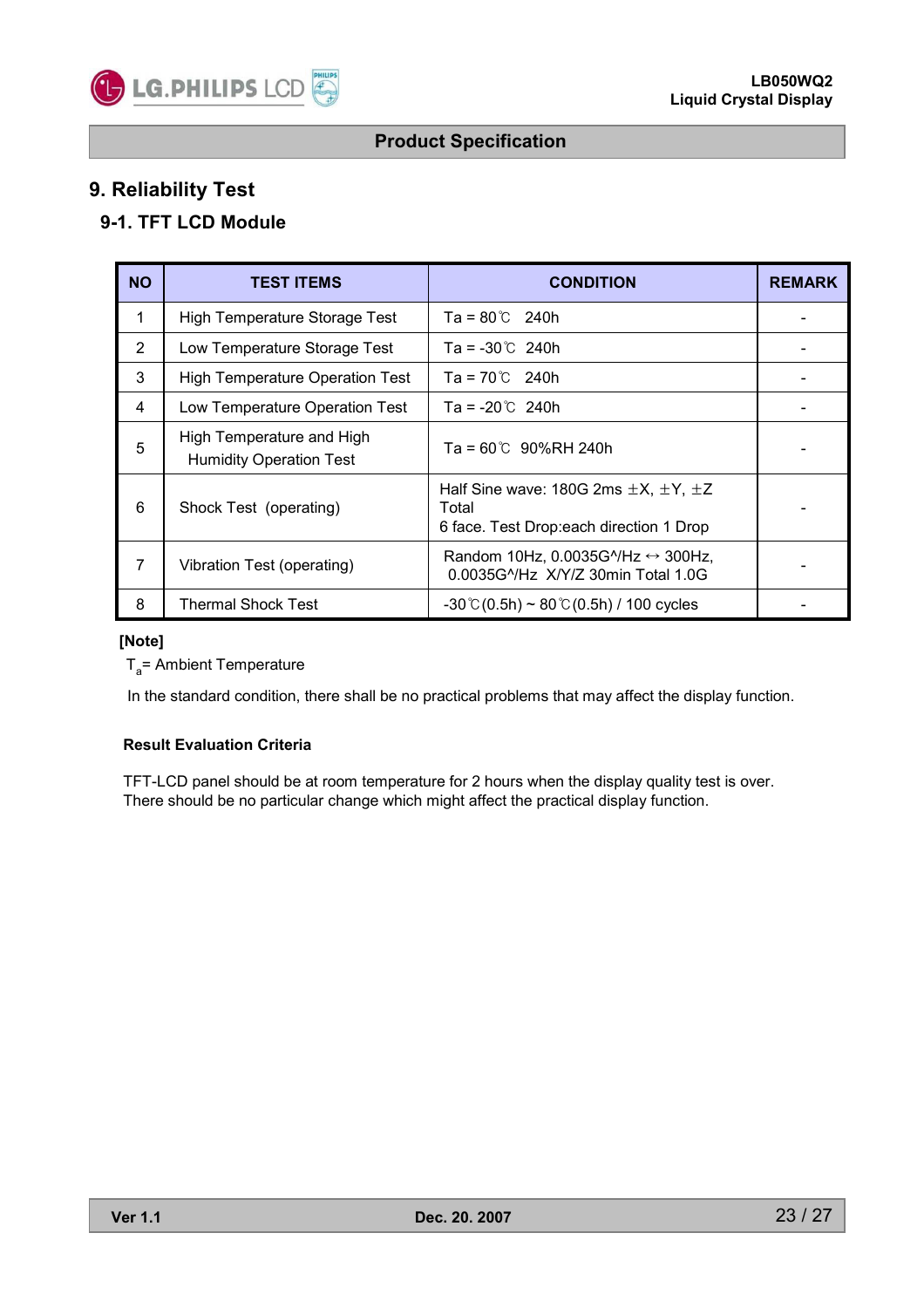

## 9. Reliability Test

## 9-1. TFT LCD Module

| <b>NO</b>      | <b>TEST ITEMS</b>                                           | <b>CONDITION</b>                                                                                         | <b>REMARK</b> |
|----------------|-------------------------------------------------------------|----------------------------------------------------------------------------------------------------------|---------------|
| 1              | High Temperature Storage Test                               | $Ta = 80^{\circ}C$ 240h                                                                                  |               |
| 2              | Low Temperature Storage Test                                | Ta = -30℃ 240h                                                                                           |               |
| 3              | <b>High Temperature Operation Test</b>                      | Ta = 70℃ 240h                                                                                            |               |
| 4              | Low Temperature Operation Test                              | Ta = -20℃ 240h                                                                                           |               |
| 5              | High Temperature and High<br><b>Humidity Operation Test</b> | Ta = 60℃ 90%RH 240h                                                                                      |               |
| 6              | Shock Test (operating)                                      | Half Sine wave: 180G 2ms $\pm X$ , $\pm Y$ , $\pm Z$<br>Total<br>6 face. Test Drop:each direction 1 Drop |               |
| $\overline{7}$ | Vibration Test (operating)                                  | Random 10Hz, $0.0035G'/Hz \leftrightarrow 300Hz$ ,<br>0.0035G <sup>N</sup> Hz X/Y/Z 30min Total 1.0G     |               |
| 8              | Thermal Shock Test                                          | $-30^{\circ}$ C(0.5h) ~ 80 $^{\circ}$ C(0.5h) / 100 cycles                                               |               |

#### [Note]

 $T_a$ = Ambient Temperature

In the standard condition, there shall be no practical problems that may affect the display function.

#### Result Evaluation Criteria

TFT-LCD panel should be at room temperature for 2 hours when the display quality test is over. There should be no particular change which might affect the practical display function.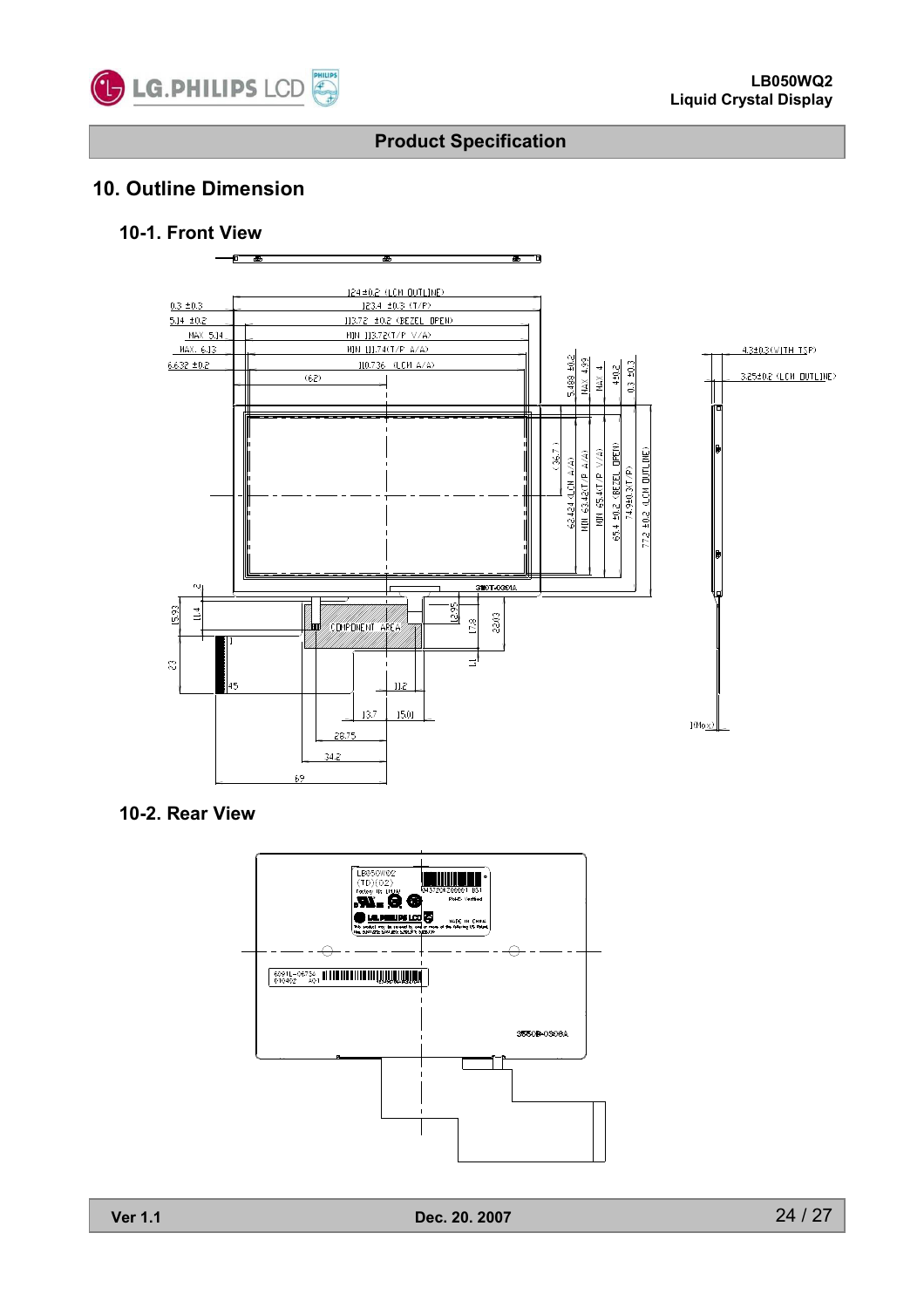

## 10. Outline Dimension

#### 10-1. Front View



#### 10-2. Rear View

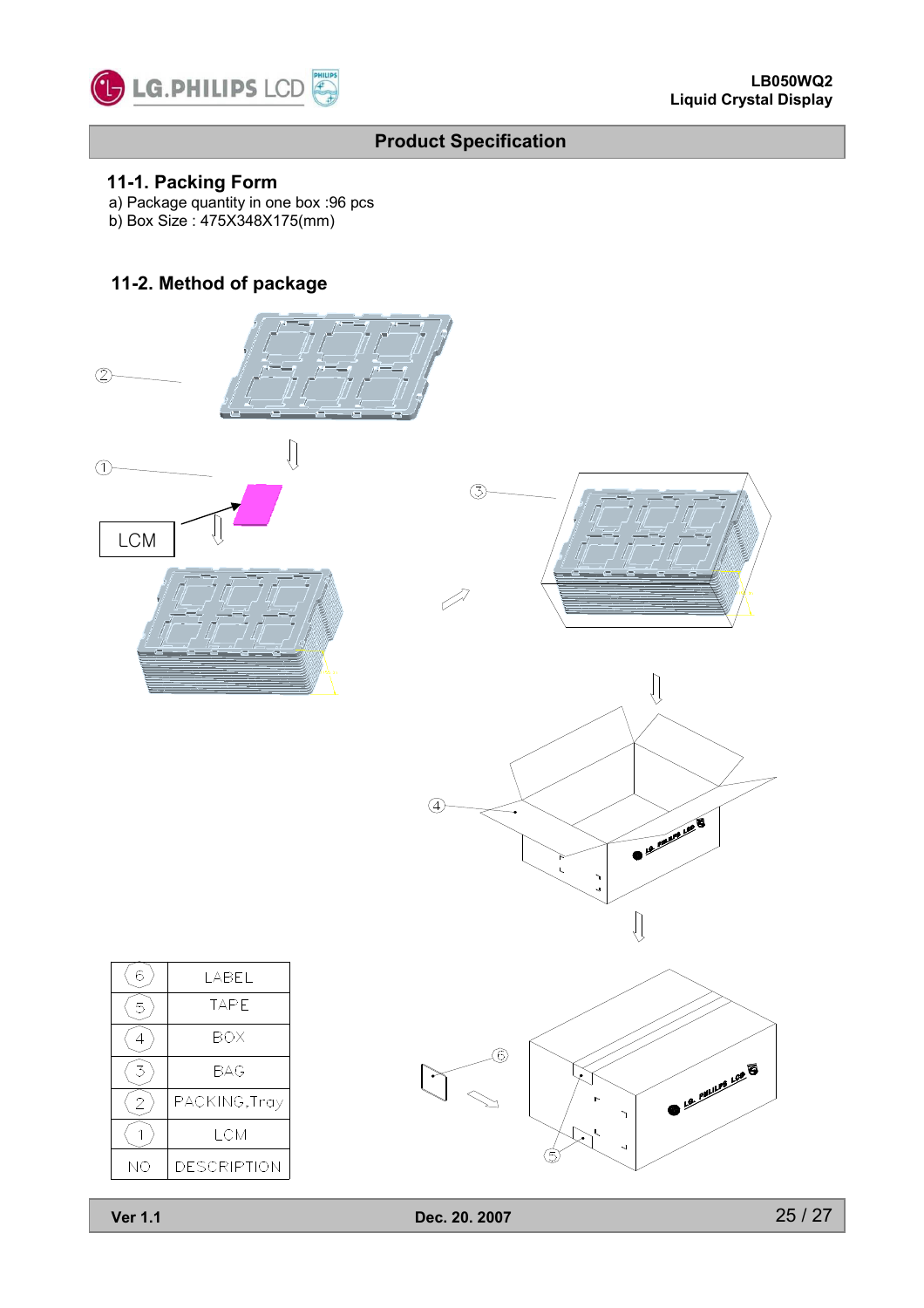

## 11-1. Packing Form

a) Package quantity in one box :96 pcs

b) Box Size : 475X348X175(mm)

## 11-2. Method of package

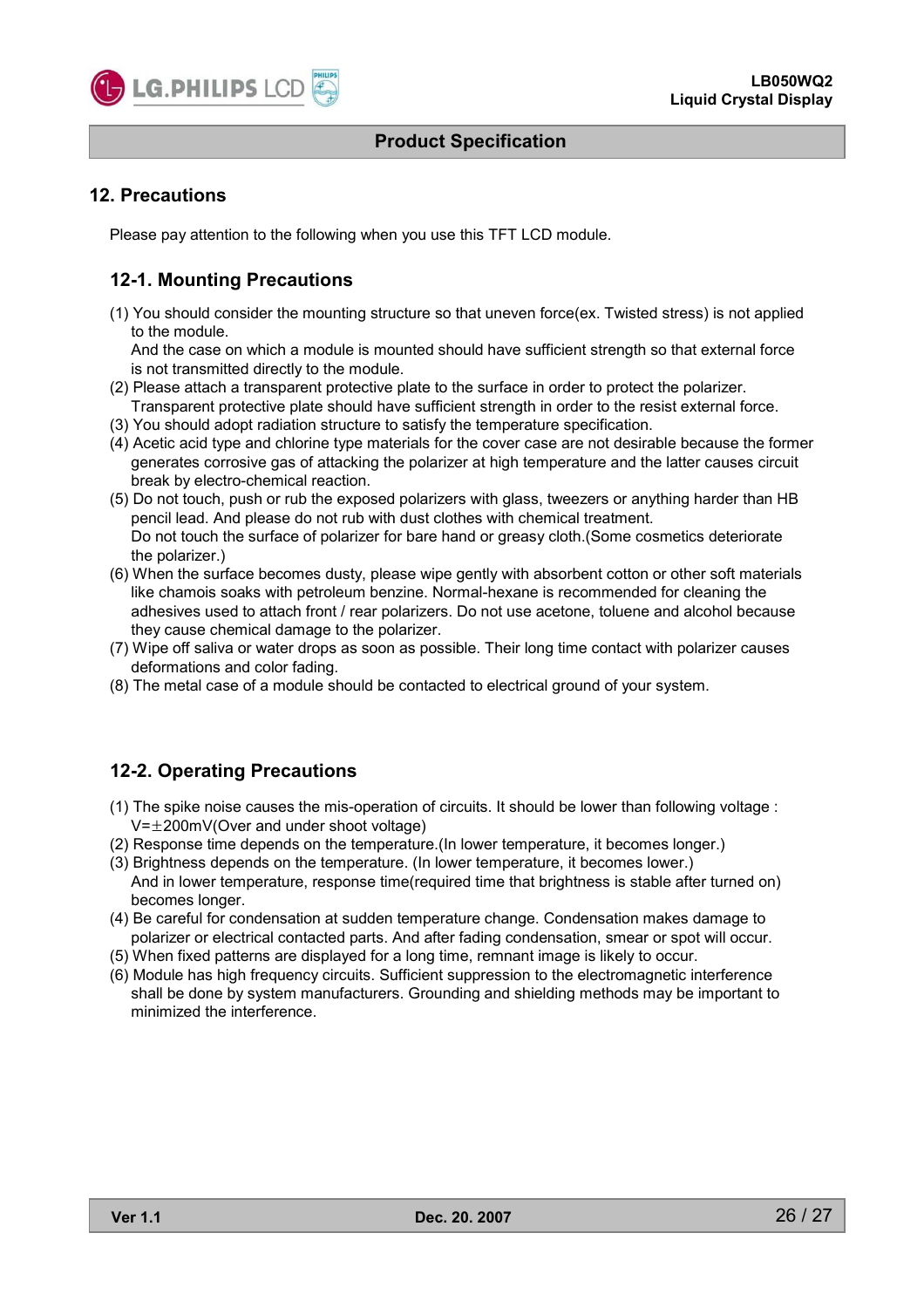### 12. Precautions

Please pay attention to the following when you use this TFT LCD module.

### 12-1. Mounting Precautions

(1) You should consider the mounting structure so that uneven force(ex. Twisted stress) is not applied to the module.

And the case on which a module is mounted should have sufficient strength so that external force is not transmitted directly to the module.

- (2) Please attach a transparent protective plate to the surface in order to protect the polarizer. Transparent protective plate should have sufficient strength in order to the resist external force.
- (3) You should adopt radiation structure to satisfy the temperature specification.
- (4) Acetic acid type and chlorine type materials for the cover case are not desirable because the former generates corrosive gas of attacking the polarizer at high temperature and the latter causes circuit break by electro-chemical reaction.
- (5) Do not touch, push or rub the exposed polarizers with glass, tweezers or anything harder than HB pencil lead. And please do not rub with dust clothes with chemical treatment. Do not touch the surface of polarizer for bare hand or greasy cloth.(Some cosmetics deteriorate the polarizer.)
- (6) When the surface becomes dusty, please wipe gently with absorbent cotton or other soft materials like chamois soaks with petroleum benzine. Normal-hexane is recommended for cleaning the adhesives used to attach front / rear polarizers. Do not use acetone, toluene and alcohol because they cause chemical damage to the polarizer.
- (7) Wipe off saliva or water drops as soon as possible. Their long time contact with polarizer causes deformations and color fading.
- (8) The metal case of a module should be contacted to electrical ground of your system.

### 12-2. Operating Precautions

- (1) The spike noise causes the mis-operation of circuits. It should be lower than following voltage :  $V=\pm 200$ mV(Over and under shoot voltage)
- (2) Response time depends on the temperature.(In lower temperature, it becomes longer.)
- (3) Brightness depends on the temperature. (In lower temperature, it becomes lower.) And in lower temperature, response time(required time that brightness is stable after turned on) becomes longer.
- (4) Be careful for condensation at sudden temperature change. Condensation makes damage to polarizer or electrical contacted parts. And after fading condensation, smear or spot will occur.
- (5) When fixed patterns are displayed for a long time, remnant image is likely to occur.
- (6) Module has high frequency circuits. Sufficient suppression to the electromagnetic interference shall be done by system manufacturers. Grounding and shielding methods may be important to minimized the interference.